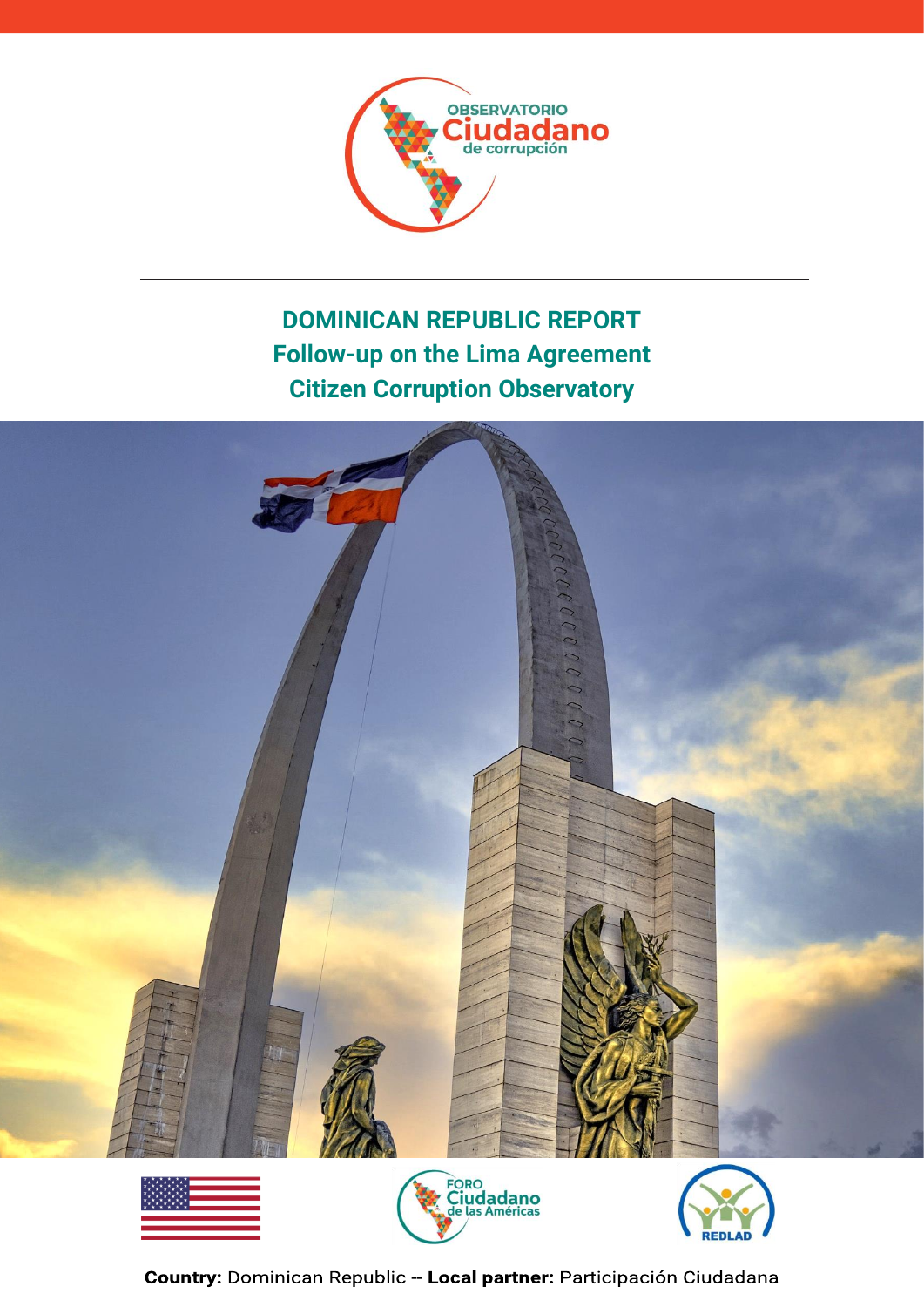

# **DOMINICAN REPUBLIC REPORT Follow-up on the Lima Agreement Citizen Corruption Observatory**



RED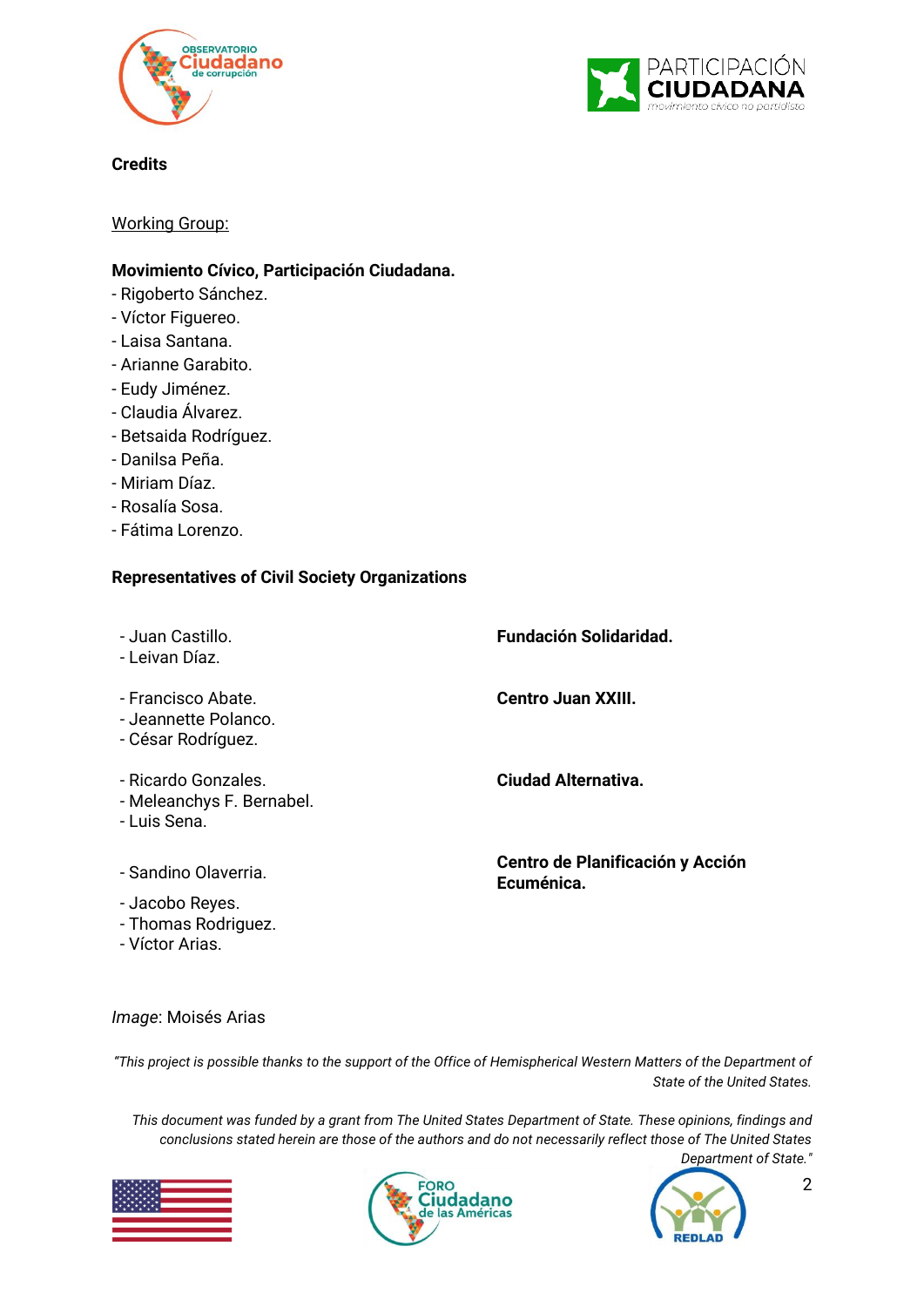



**Credits**

Working Group:

#### **Movimiento Cívico, Participación Ciudadana.**

- Rigoberto Sánchez.
- Víctor Figuereo.
- Laisa Santana.
- Arianne Garabito.
- Eudy Jiménez.
- Claudia Álvarez.
- Betsaida Rodríguez.
- Danilsa Peña.
- Miriam Díaz.
- Rosalía Sosa.
- Fátima Lorenzo.

#### **Representatives of Civil Society Organizations**

| - Juan Castillo.<br>- Leivan Díaz.                               | <b>Fundación Solidaridad.</b>                  |
|------------------------------------------------------------------|------------------------------------------------|
| - Francisco Abate.<br>- Jeannette Polanco.<br>- César Rodríguez. | Centro Juan XXIII.                             |
| - Ricardo Gonzales.<br>- Meleanchys F. Bernabel.<br>- Luis Sena. | <b>Ciudad Alternativa.</b>                     |
| - Sandino Olaverria.<br>- Jacobo Reyes.                          | Centro de Planificación y Acción<br>Ecuménica. |

- Thomas Rodriguez.
- Víctor Arias.

*Image*: Moisés Arias

*"This project is possible thanks to the support of the Office of Hemispherical Western Matters of the Department of State of the United States.* 

*This document was funded by a grant from The United States Department of State. These opinions, findings and conclusions stated herein are those of the authors and do not necessarily reflect those of The United States* 





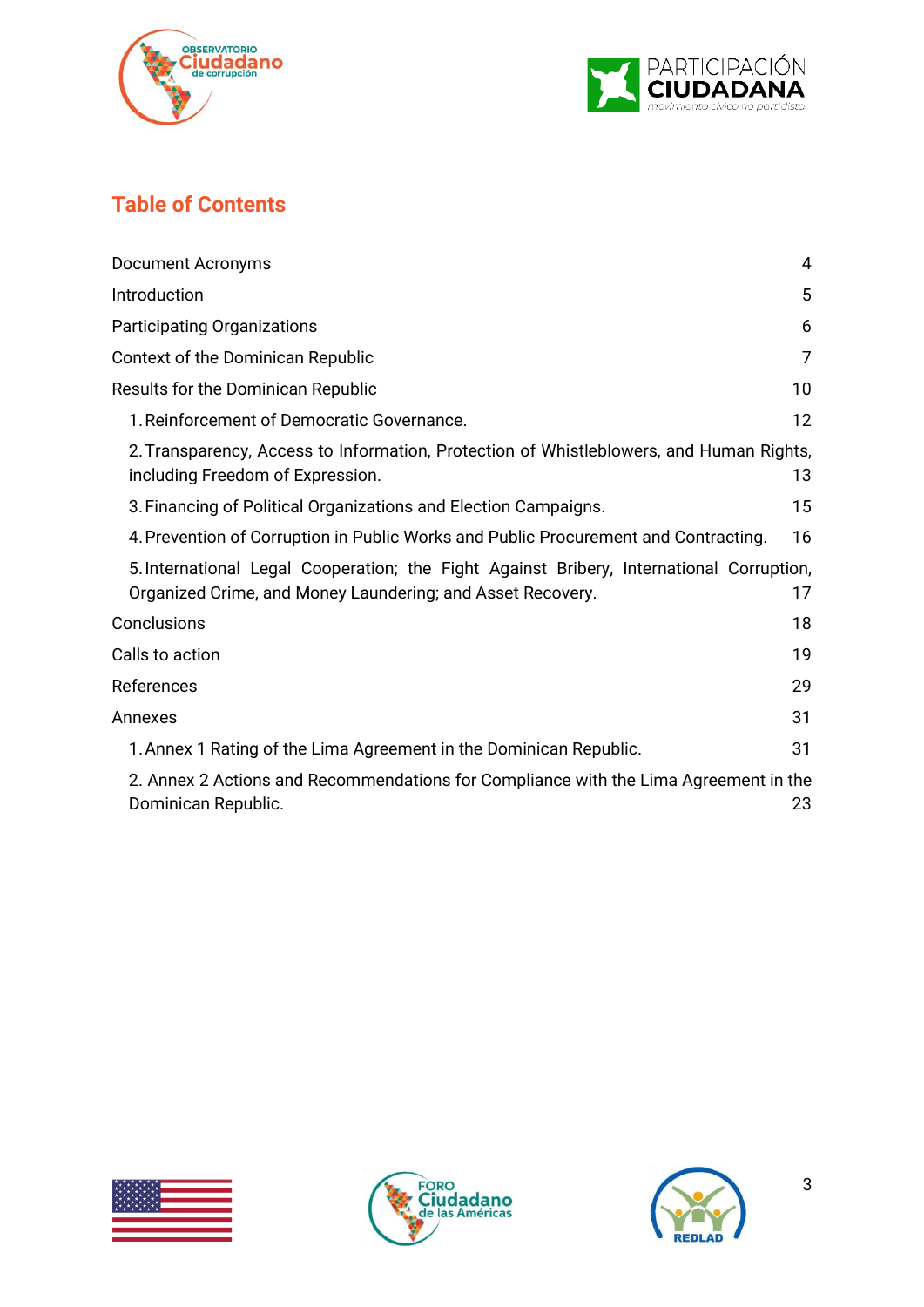



## **Table of Contents**

| Document Acronyms                                                                                                                                      | 4  |
|--------------------------------------------------------------------------------------------------------------------------------------------------------|----|
| Introduction                                                                                                                                           | 5  |
| Participating Organizations                                                                                                                            | 6  |
| Context of the Dominican Republic                                                                                                                      | 7  |
| Results for the Dominican Republic                                                                                                                     | 10 |
| 1. Reinforcement of Democratic Governance.                                                                                                             | 12 |
| 2. Transparency, Access to Information, Protection of Whistleblowers, and Human Rights,<br>including Freedom of Expression.                            | 13 |
| 3. Financing of Political Organizations and Election Campaigns.                                                                                        | 15 |
| 4. Prevention of Corruption in Public Works and Public Procurement and Contracting.                                                                    | 16 |
| 5. International Legal Cooperation; the Fight Against Bribery, International Corruption,<br>Organized Crime, and Money Laundering; and Asset Recovery. | 17 |
| Conclusions                                                                                                                                            | 18 |
| Calls to action                                                                                                                                        | 19 |
| References                                                                                                                                             | 29 |
| Annexes                                                                                                                                                | 31 |
| 1. Annex 1 Rating of the Lima Agreement in the Dominican Republic.                                                                                     | 31 |
| 2. Annex 2 Actions and Recommendations for Compliance with the Lima Agreement in the<br>Dominican Republic.                                            | 23 |





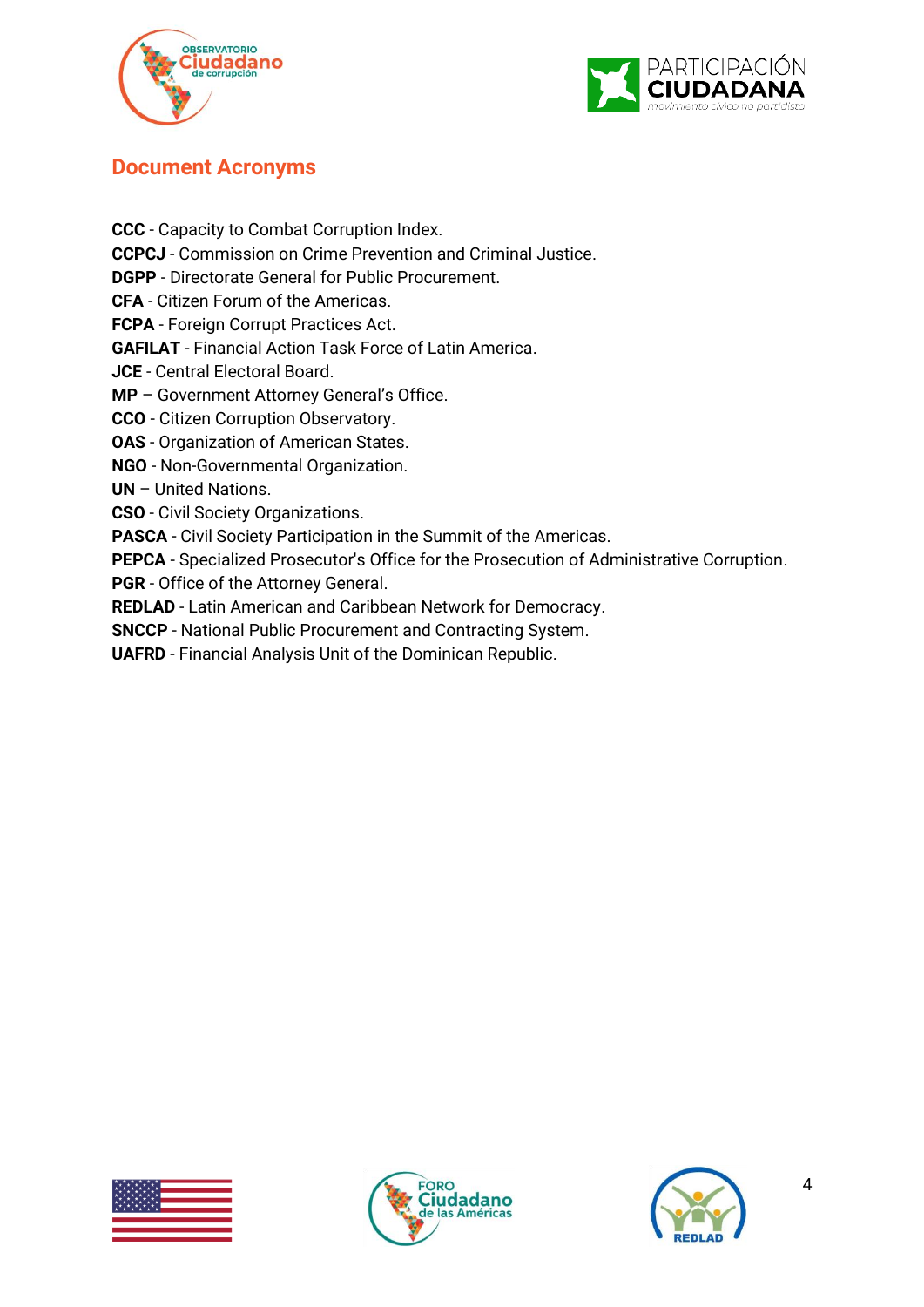



### <span id="page-3-0"></span>**Document Acronyms**

**CCC** - Capacity to Combat Corruption Index. **CCPCJ** - Commission on Crime Prevention and Criminal Justice. **DGPP** - Directorate General for Public Procurement. **CFA** - Citizen Forum of the Americas. **FCPA** - Foreign Corrupt Practices Act. **GAFILAT** - Financial Action Task Force of Latin America. **JCE** - Central Electoral Board. **MP** – Government Attorney General's Office. **CCO** - Citizen Corruption Observatory. **OAS** - Organization of American States. **NGO** - Non-Governmental Organization. **UN** – United Nations. **CSO** - Civil Society Organizations. **PASCA** - Civil Society Participation in the Summit of the Americas. **PEPCA** - Specialized Prosecutor's Office for the Prosecution of Administrative Corruption. **PGR** - Office of the Attorney General. **REDLAD** - Latin American and Caribbean Network for Democracy.

**SNCCP** - National Public Procurement and Contracting System.

**UAFRD** - Financial Analysis Unit of the Dominican Republic.





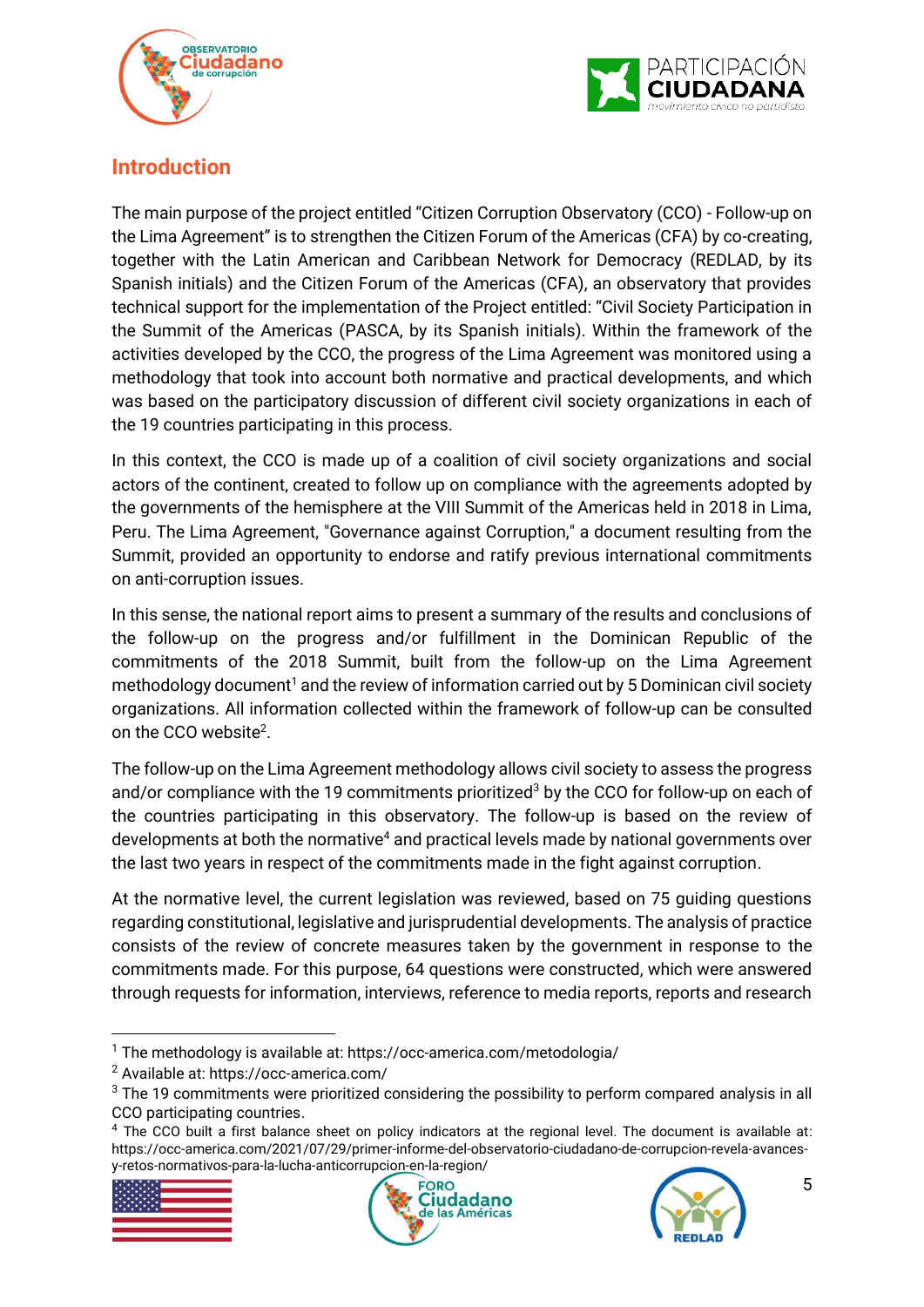



### <span id="page-4-0"></span>**Introduction**

The main purpose of the project entitled "Citizen Corruption Observatory (CCO) - Follow-up on the Lima Agreement" is to strengthen the Citizen Forum of the Americas (CFA) by co-creating, together with the Latin American and Caribbean Network for Democracy (REDLAD, by its Spanish initials) and the Citizen Forum of the Americas (CFA), an observatory that provides technical support for the implementation of the Project entitled: "Civil Society Participation in the Summit of the Americas (PASCA, by its Spanish initials). Within the framework of the activities developed by the CCO, the progress of the Lima Agreement was monitored using a methodology that took into account both normative and practical developments, and which was based on the participatory discussion of different civil society organizations in each of the 19 countries participating in this process.

In this context, the CCO is made up of a coalition of civil society organizations and social actors of the continent, created to follow up on compliance with the agreements adopted by the governments of the hemisphere at the VIII Summit of the Americas held in 2018 in Lima, Peru. The Lima Agreement, "Governance against Corruption," a document resulting from the Summit, provided an opportunity to endorse and ratify previous international commitments on anti-corruption issues.

In this sense, the national report aims to present a summary of the results and conclusions of the follow-up on the progress and/or fulfillment in the Dominican Republic of the commitments of the 2018 Summit, built from the follow-up on the Lima Agreement methodology document<sup>1</sup> and the review of information carried out by 5 Dominican civil society organizations. All information collected within the framework of follow-up can be consulted on the CCO website<sup>2</sup>.

The follow-up on the Lima Agreement methodology allows civil society to assess the progress and/or compliance with the 19 commitments prioritized<sup>3</sup> by the CCO for follow-up on each of the countries participating in this observatory. The follow-up is based on the review of developments at both the normative<sup>4</sup> and practical levels made by national governments over the last two years in respect of the commitments made in the fight against corruption.

At the normative level, the current legislation was reviewed, based on 75 guiding questions regarding constitutional, legislative and jurisprudential developments. The analysis of practice consists of the review of concrete measures taken by the government in response to the commitments made. For this purpose, 64 questions were constructed, which were answered through requests for information, interviews, reference to media reports, reports and research

<sup>&</sup>lt;sup>4</sup> The CCO built a first balance sheet on policy indicators at the regional level. The document is available at: https://occ-america.com/2021/07/29/primer-informe-del-observatorio-ciudadano-de-corrupcion-revela-avancesy-retos-normativos-para-la-lucha-anticorrupcion-en-la-region/







<sup>1</sup> The methodology is available at: https://occ-america.com/metodologia/

<sup>2</sup> Available at: https://occ-america.com/

 $3$  The 19 commitments were prioritized considering the possibility to perform compared analysis in all CCO participating countries.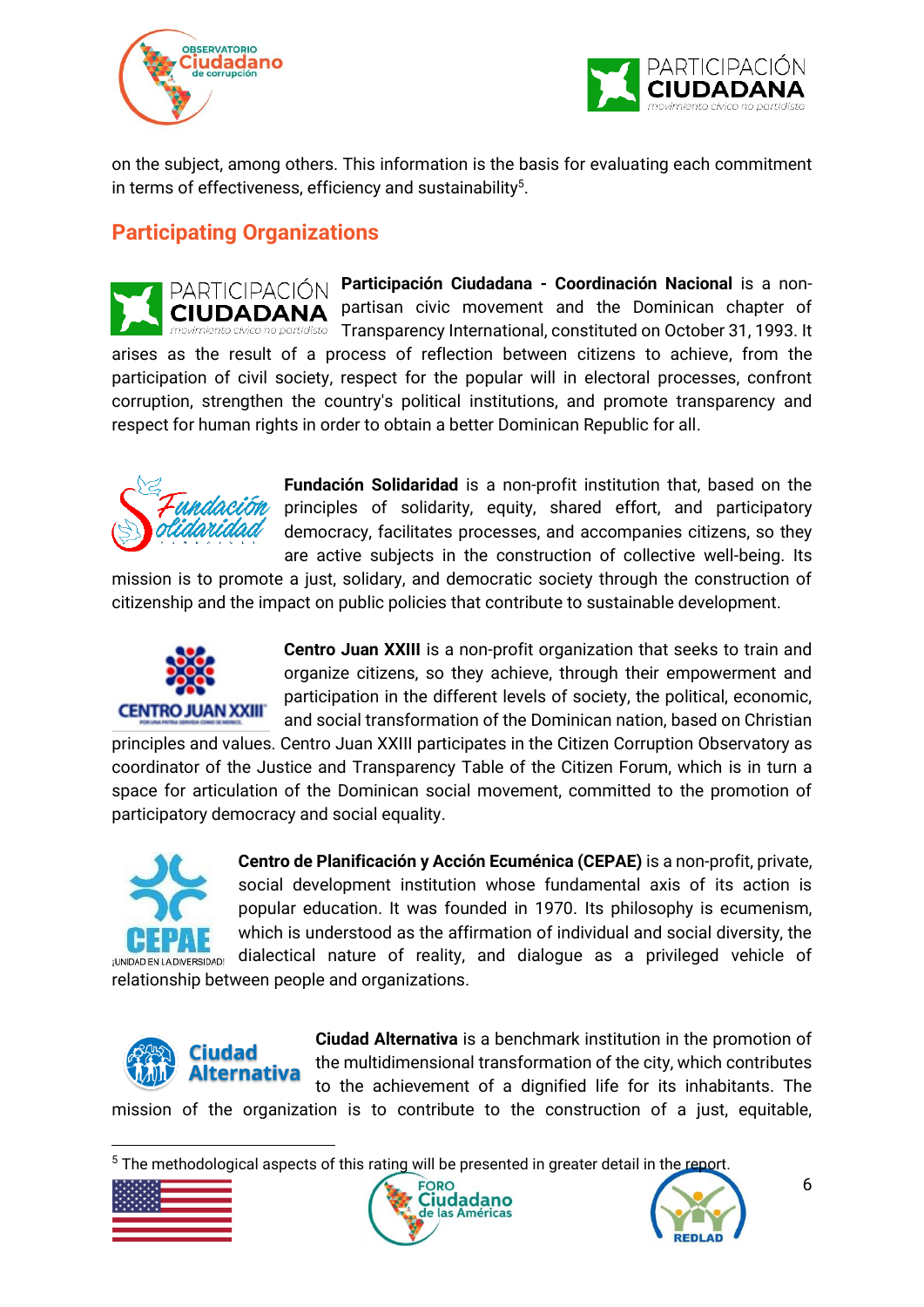



on the subject, among others. This information is the basis for evaluating each commitment in terms of effectiveness, efficiency and sustainability $5$ .

## <span id="page-5-0"></span>**Participating Organizations**

**Participación Ciudadana - Coordinación Nacional** is a non-PARTICIPACIÓN partisan civic movement and the Dominican chapter of CIUDADANA no partidista Transparency International, constituted on October 31, 1993. It arises as the result of a process of reflection between citizens to achieve, from the participation of civil society, respect for the popular will in electoral processes, confront corruption, strengthen the country's political institutions, and promote transparency and respect for human rights in order to obtain a better Dominican Republic for all.



**Fundación Solidaridad** is a non-profit institution that, based on the principles of solidarity, equity, shared effort, and participatory democracy, facilitates processes, and accompanies citizens, so they are active subjects in the construction of collective well-being. Its

mission is to promote a just, solidary, and democratic society through the construction of citizenship and the impact on public policies that contribute to sustainable development.



**Centro Juan XXIII** is a non-profit organization that seeks to train and organize citizens, so they achieve, through their empowerment and participation in the different levels of society, the political, economic, and social transformation of the Dominican nation, based on Christian

principles and values. Centro Juan XXIII participates in the Citizen Corruption Observatory as coordinator of the Justice and Transparency Table of the Citizen Forum, which is in turn a space for articulation of the Dominican social movement, committed to the promotion of participatory democracy and social equality.



**Centro de Planificación y Acción Ecuménica (CEPAE)** is a non-profit, private, social development institution whose fundamental axis of its action is popular education. It was founded in 1970. Its philosophy is ecumenism, which is understood as the affirmation of individual and social diversity, the dialectical nature of reality, and dialogue as a privileged vehicle of

relationship between people and organizations.



**Ciudad Alternativa** is a benchmark institution in the promotion of the multidimensional transformation of the city, which contributes to the achievement of a dignified life for its inhabitants. The mission of the organization is to contribute to the construction of a just, equitable,

 $5$  The methodological aspects of this rating will be presented in greater detail in the report





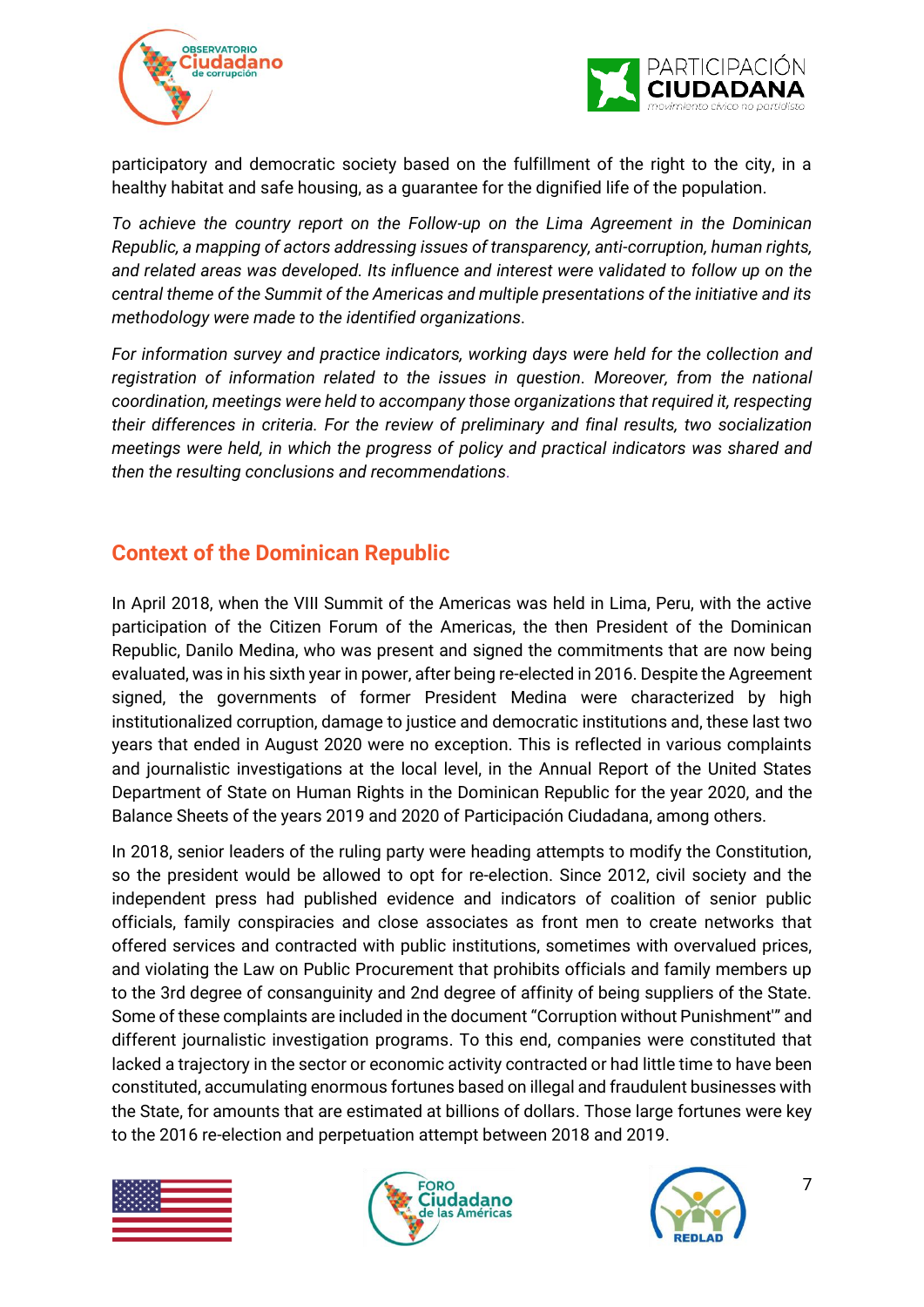



participatory and democratic society based on the fulfillment of the right to the city, in a healthy habitat and safe housing, as a guarantee for the dignified life of the population.

*To achieve the country report on the Follow-up on the Lima Agreement in the Dominican Republic, a mapping of actors addressing issues of transparency, anti-corruption, human rights, and related areas was developed. Its influence and interest were validated to follow up on the central theme of the Summit of the Americas and multiple presentations of the initiative and its methodology were made to the identified organizations.* 

*For information survey and practice indicators, working days were held for the collection and registration of information related to the issues in question. Moreover, from the national coordination, meetings were held to accompany those organizations that required it, respecting their differences in criteria. For the review of preliminary and final results, two socialization meetings were held, in which the progress of policy and practical indicators was shared and then the resulting conclusions and recommendations.*

### <span id="page-6-0"></span>**Context of the Dominican Republic**

In April 2018, when the VIII Summit of the Americas was held in Lima, Peru, with the active participation of the Citizen Forum of the Americas, the then President of the Dominican Republic, Danilo Medina, who was present and signed the commitments that are now being evaluated, was in his sixth year in power, after being re-elected in 2016. Despite the Agreement signed, the governments of former President Medina were characterized by high institutionalized corruption, damage to justice and democratic institutions and, these last two years that ended in August 2020 were no exception. This is reflected in various complaints and journalistic investigations at the local level, in the Annual Report of the United States Department of State on Human Rights in the Dominican Republic for the year 2020, and the Balance Sheets of the years 2019 and 2020 of Participación Ciudadana, among others.

In 2018, senior leaders of the ruling party were heading attempts to modify the Constitution, so the president would be allowed to opt for re-election. Since 2012, civil society and the independent press had published evidence and indicators of coalition of senior public officials, family conspiracies and close associates as front men to create networks that offered services and contracted with public institutions, sometimes with overvalued prices, and violating the Law on Public Procurement that prohibits officials and family members up to the 3rd degree of consanguinity and 2nd degree of affinity of being suppliers of the State. Some of these complaints are included in the document "Corruption without Punishment'" and different journalistic investigation programs. To this end, companies were constituted that lacked a trajectory in the sector or economic activity contracted or had little time to have been constituted, accumulating enormous fortunes based on illegal and fraudulent businesses with the State, for amounts that are estimated at billions of dollars. Those large fortunes were key to the 2016 re-election and perpetuation attempt between 2018 and 2019.





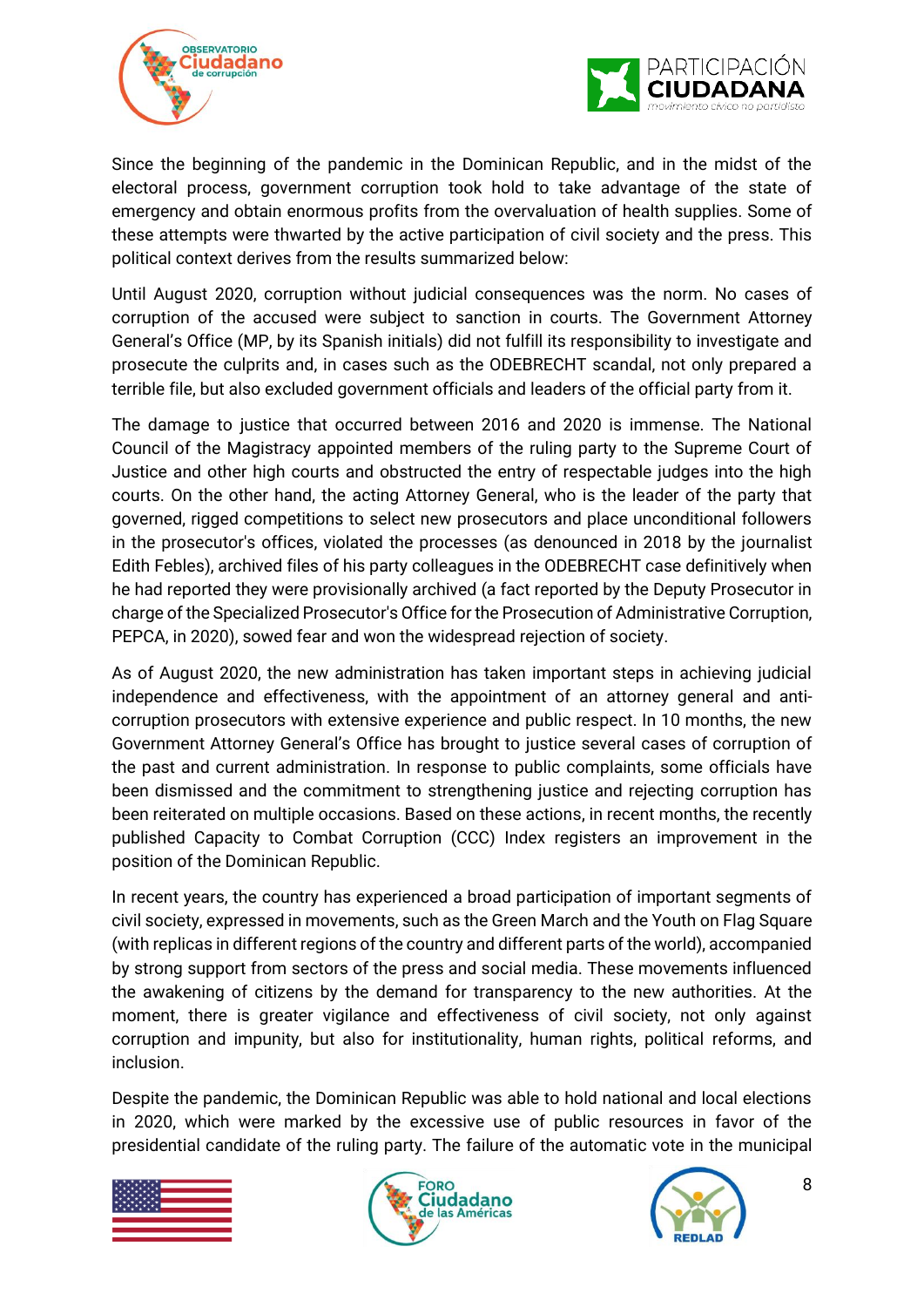



Since the beginning of the pandemic in the Dominican Republic, and in the midst of the electoral process, government corruption took hold to take advantage of the state of emergency and obtain enormous profits from the overvaluation of health supplies. Some of these attempts were thwarted by the active participation of civil society and the press. This political context derives from the results summarized below:

Until August 2020, corruption without judicial consequences was the norm. No cases of corruption of the accused were subject to sanction in courts. The Government Attorney General's Office (MP, by its Spanish initials) did not fulfill its responsibility to investigate and prosecute the culprits and, in cases such as the ODEBRECHT scandal, not only prepared a terrible file, but also excluded government officials and leaders of the official party from it.

The damage to justice that occurred between 2016 and 2020 is immense. The National Council of the Magistracy appointed members of the ruling party to the Supreme Court of Justice and other high courts and obstructed the entry of respectable judges into the high courts. On the other hand, the acting Attorney General, who is the leader of the party that governed, rigged competitions to select new prosecutors and place unconditional followers in the prosecutor's offices, violated the processes (as denounced in 2018 by the journalist Edith Febles), archived files of his party colleagues in the ODEBRECHT case definitively when he had reported they were provisionally archived (a fact reported by the Deputy Prosecutor in charge of the Specialized Prosecutor's Office for the Prosecution of Administrative Corruption, PEPCA, in 2020), sowed fear and won the widespread rejection of society.

As of August 2020, the new administration has taken important steps in achieving judicial independence and effectiveness, with the appointment of an attorney general and anticorruption prosecutors with extensive experience and public respect. In 10 months, the new Government Attorney General's Office has brought to justice several cases of corruption of the past and current administration. In response to public complaints, some officials have been dismissed and the commitment to strengthening justice and rejecting corruption has been reiterated on multiple occasions. Based on these actions, in recent months, the recently published Capacity to Combat Corruption (CCC) Index registers an improvement in the position of the Dominican Republic.

In recent years, the country has experienced a broad participation of important segments of civil society, expressed in movements, such as the Green March and the Youth on Flag Square (with replicas in different regions of the country and different parts of the world), accompanied by strong support from sectors of the press and social media. These movements influenced the awakening of citizens by the demand for transparency to the new authorities. At the moment, there is greater vigilance and effectiveness of civil society, not only against corruption and impunity, but also for institutionality, human rights, political reforms, and inclusion.

Despite the pandemic, the Dominican Republic was able to hold national and local elections in 2020, which were marked by the excessive use of public resources in favor of the presidential candidate of the ruling party. The failure of the automatic vote in the municipal





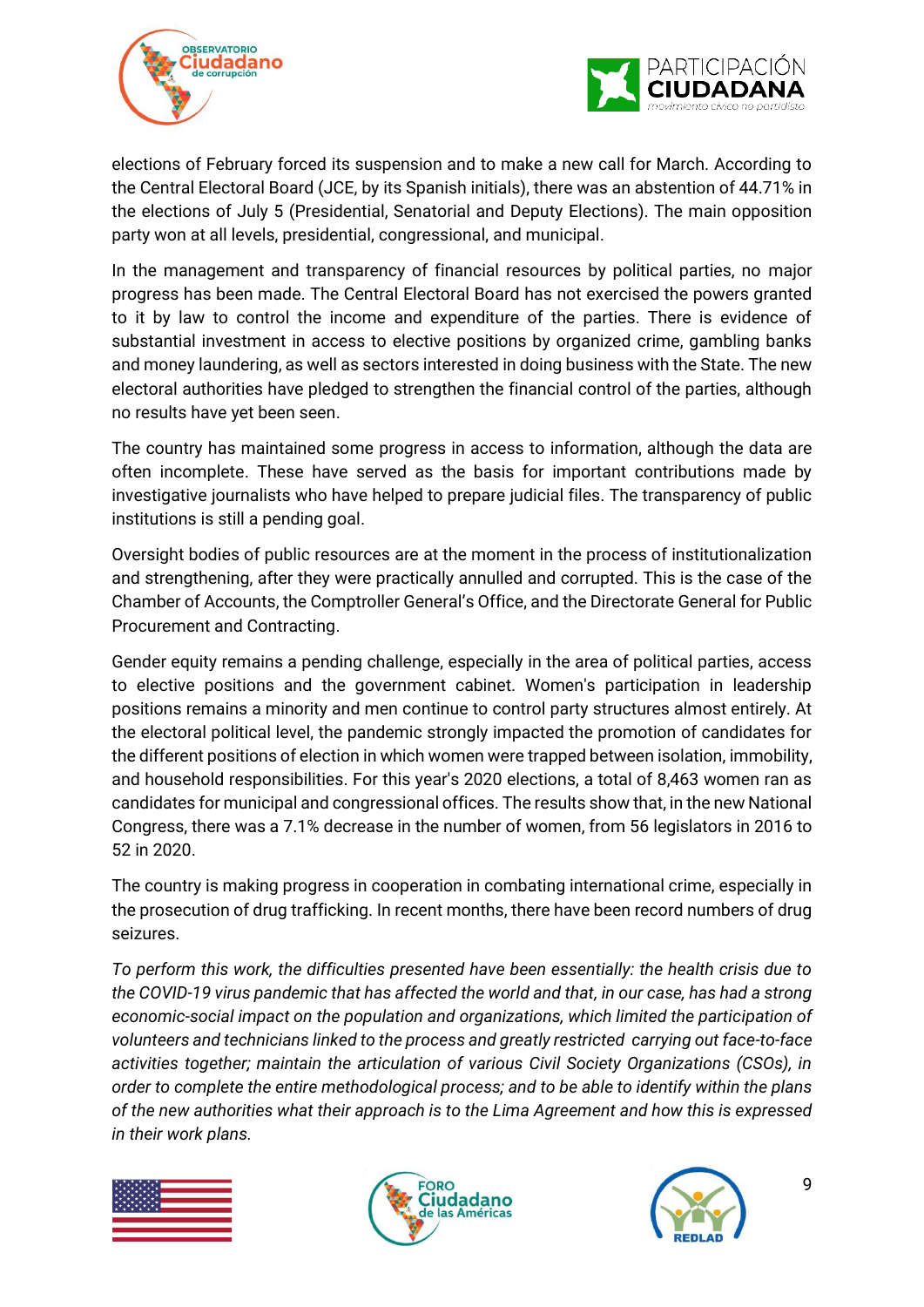



elections of February forced its suspension and to make a new call for March. According to the Central Electoral Board (JCE, by its Spanish initials), there was an abstention of 44.71% in the elections of July 5 (Presidential, Senatorial and Deputy Elections). The main opposition party won at all levels, presidential, congressional, and municipal.

In the management and transparency of financial resources by political parties, no major progress has been made. The Central Electoral Board has not exercised the powers granted to it by law to control the income and expenditure of the parties. There is evidence of substantial investment in access to elective positions by organized crime, gambling banks and money laundering, as well as sectors interested in doing business with the State. The new electoral authorities have pledged to strengthen the financial control of the parties, although no results have yet been seen.

The country has maintained some progress in access to information, although the data are often incomplete. These have served as the basis for important contributions made by investigative journalists who have helped to prepare judicial files. The transparency of public institutions is still a pending goal.

Oversight bodies of public resources are at the moment in the process of institutionalization and strengthening, after they were practically annulled and corrupted. This is the case of the Chamber of Accounts, the Comptroller General's Office, and the Directorate General for Public Procurement and Contracting.

Gender equity remains a pending challenge, especially in the area of political parties, access to elective positions and the government cabinet. Women's participation in leadership positions remains a minority and men continue to control party structures almost entirely. At the electoral political level, the pandemic strongly impacted the promotion of candidates for the different positions of election in which women were trapped between isolation, immobility, and household responsibilities. For this year's 2020 elections, a total of 8,463 women ran as candidates for municipal and congressional offices. The results show that, in the new National Congress, there was a 7.1% decrease in the number of women, from 56 legislators in 2016 to 52 in 2020.

The country is making progress in cooperation in combating international crime, especially in the prosecution of drug trafficking. In recent months, there have been record numbers of drug seizures.

*To perform this work, the difficulties presented have been essentially: the health crisis due to the COVID-19 virus pandemic that has affected the world and that, in our case, has had a strong economic-social impact on the population and organizations, which limited the participation of volunteers and technicians linked to the process and greatly restricted carrying out face-to-face activities together; maintain the articulation of various Civil Society Organizations (CSOs), in order to complete the entire methodological process; and to be able to identify within the plans of the new authorities what their approach is to the Lima Agreement and how this is expressed in their work plans.* 





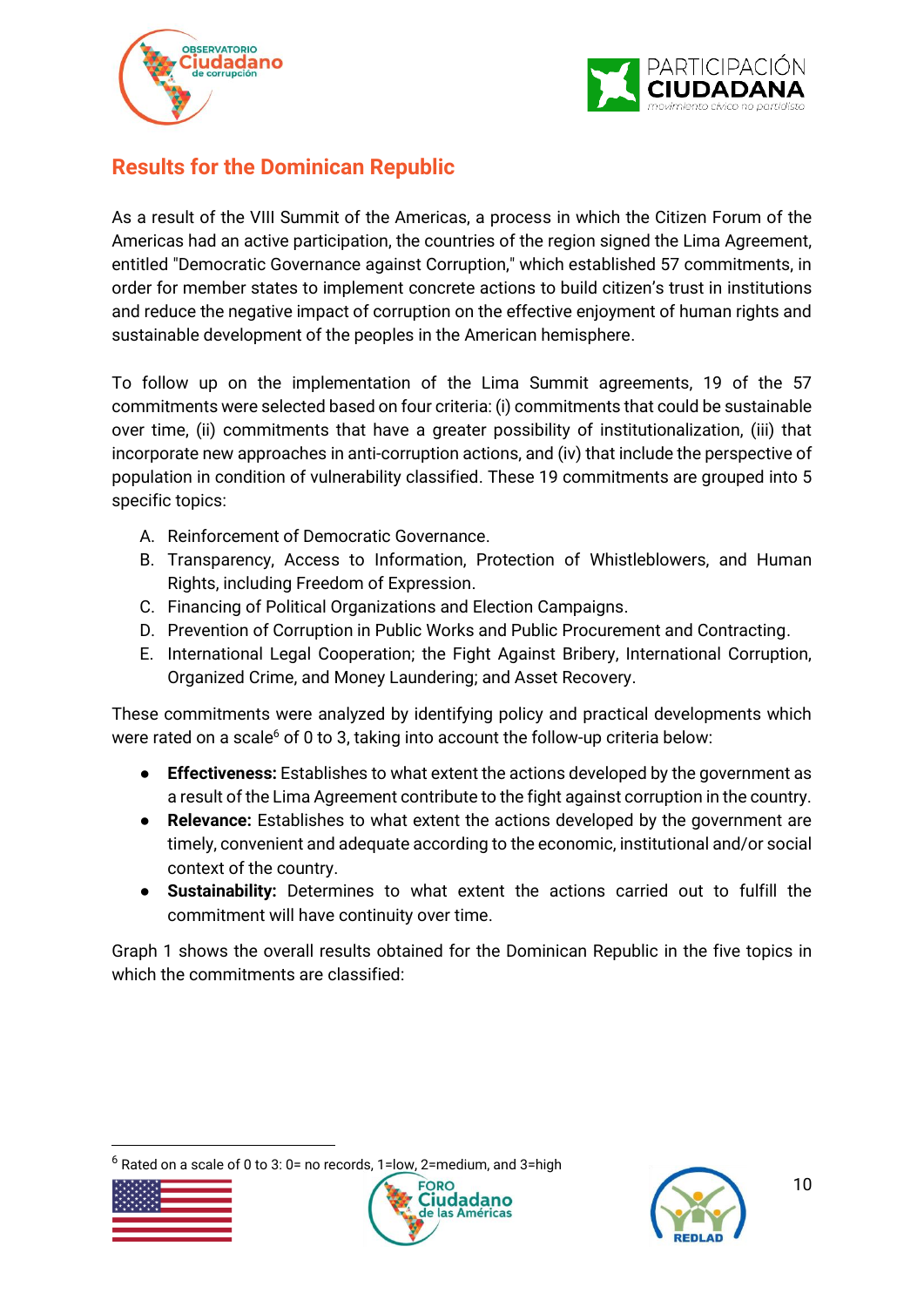



## <span id="page-9-0"></span>**Results for the Dominican Republic**

As a result of the VIII Summit of the Americas, a process in which the Citizen Forum of the Americas had an active participation, the countries of the region signed the Lima Agreement, entitled "Democratic Governance against Corruption," which established 57 commitments, in order for member states to implement concrete actions to build citizen's trust in institutions and reduce the negative impact of corruption on the effective enjoyment of human rights and sustainable development of the peoples in the American hemisphere.

To follow up on the implementation of the Lima Summit agreements, 19 of the 57 commitments were selected based on four criteria: (i) commitments that could be sustainable over time, (ii) commitments that have a greater possibility of institutionalization, (iii) that incorporate new approaches in anti-corruption actions, and (iv) that include the perspective of population in condition of vulnerability classified. These 19 commitments are grouped into 5 specific topics:

- A. Reinforcement of Democratic Governance.
- B. Transparency, Access to Information, Protection of Whistleblowers, and Human Rights, including Freedom of Expression.
- C. Financing of Political Organizations and Election Campaigns.
- D. Prevention of Corruption in Public Works and Public Procurement and Contracting.
- E. International Legal Cooperation; the Fight Against Bribery, International Corruption, Organized Crime, and Money Laundering; and Asset Recovery.

These commitments were analyzed by identifying policy and practical developments which were rated on a scale $6$  of 0 to 3, taking into account the follow-up criteria below:

- **Effectiveness:** Establishes to what extent the actions developed by the government as a result of the Lima Agreement contribute to the fight against corruption in the country.
- **Relevance:** Establishes to what extent the actions developed by the government are timely, convenient and adequate according to the economic, institutional and/or social context of the country.
- **Sustainability:** Determines to what extent the actions carried out to fulfill the commitment will have continuity over time.

Graph 1 shows the overall results obtained for the Dominican Republic in the five topics in which the commitments are classified:

Rated on a scale of 0 to 3: 0= no records, 1=low, 2=medium, and 3=high





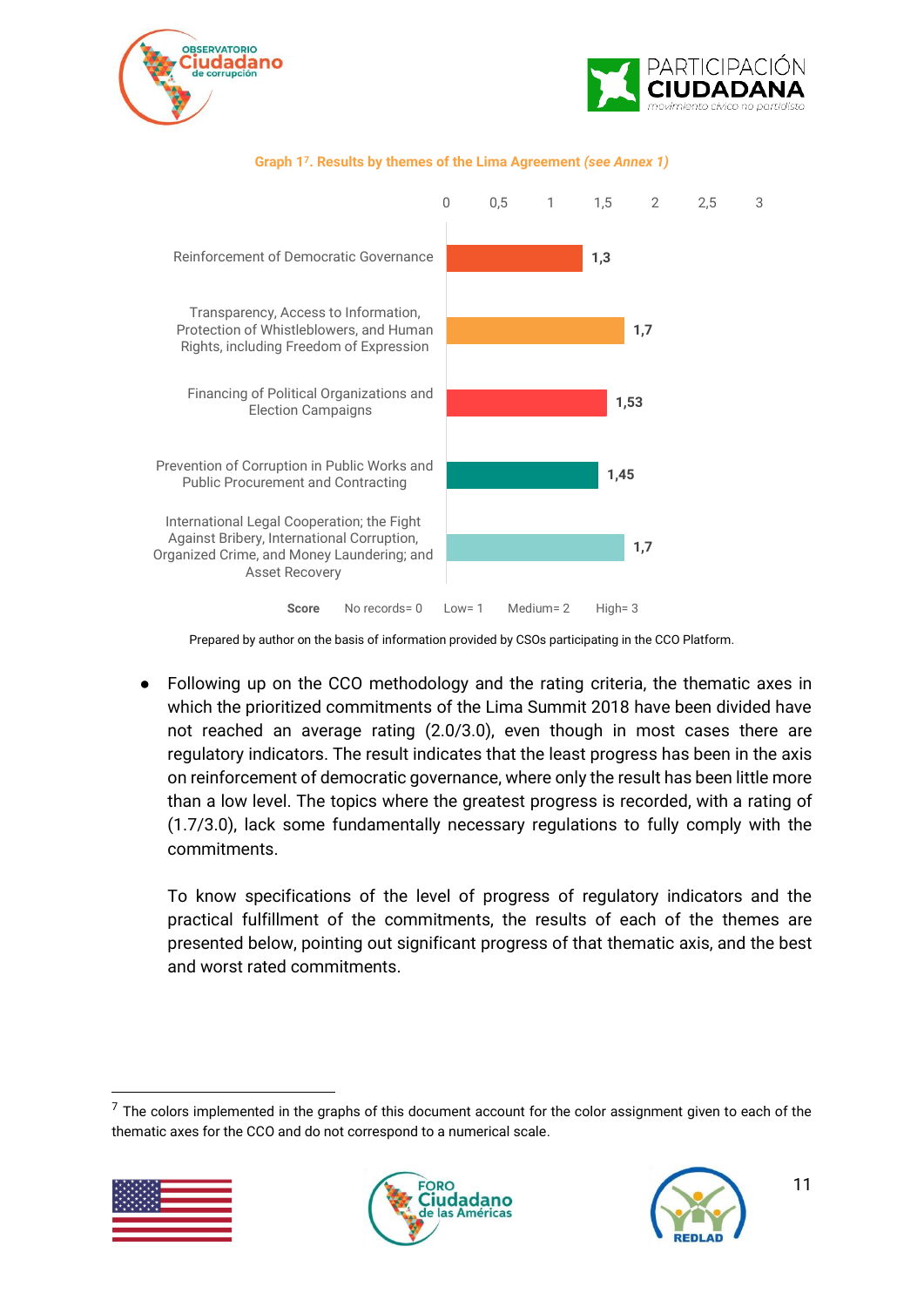



#### **Score** No records= 0 Low= 1 Medium= 2 High= 3 **1,3 1,7 1,53 1,45 1,7** 0 0,5 1 1,5 2 2,5 3 Reinforcement of Democratic Governance Transparency, Access to Information, Protection of Whistleblowers, and Human Rights, including Freedom of Expression Financing of Political Organizations and Election Campaigns Prevention of Corruption in Public Works and Public Procurement and Contracting International Legal Cooperation; the Fight Against Bribery, International Corruption, Organized Crime, and Money Laundering; and Asset Recovery

#### **Graph 1<sup>7</sup>. Results by themes of the Lima Agreement** *(see Annex 1)*

Prepared by author on the basis of information provided by CSOs participating in the CCO Platform.

● Following up on the CCO methodology and the rating criteria, the thematic axes in which the prioritized commitments of the Lima Summit 2018 have been divided have not reached an average rating (2.0/3.0), even though in most cases there are regulatory indicators. The result indicates that the least progress has been in the axis on reinforcement of democratic governance, where only the result has been little more than a low level. The topics where the greatest progress is recorded, with a rating of (1.7/3.0), lack some fundamentally necessary regulations to fully comply with the commitments.

To know specifications of the level of progress of regulatory indicators and the practical fulfillment of the commitments, the results of each of the themes are presented below, pointing out significant progress of that thematic axis, and the best and worst rated commitments.

 $7$  The colors implemented in the graphs of this document account for the color assignment given to each of the thematic axes for the CCO and do not correspond to a numerical scale.





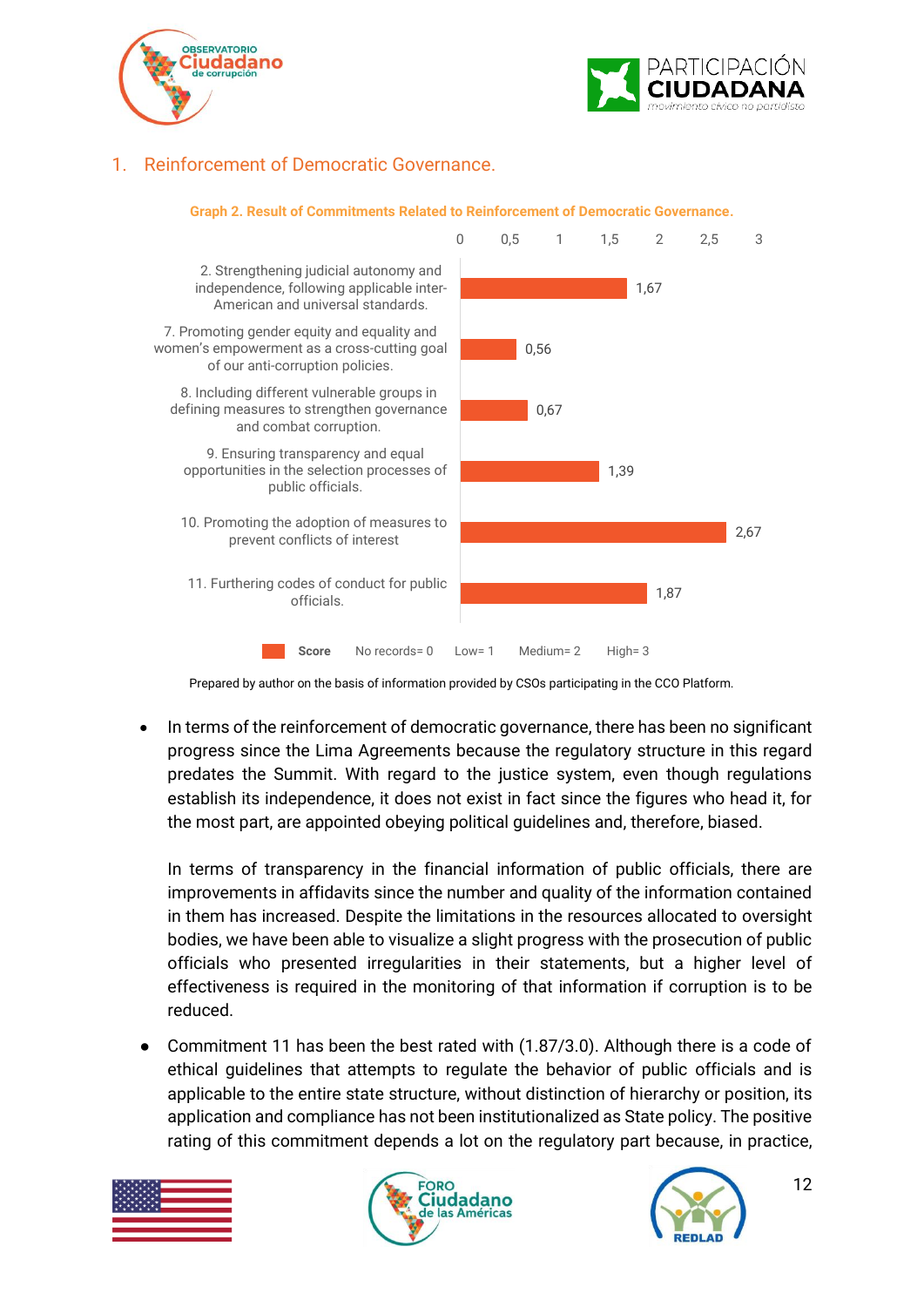



### <span id="page-11-0"></span>1. Reinforcement of Democratic Governance.



Prepared by author on the basis of information provided by CSOs participating in the CCO Platform.

• In terms of the reinforcement of democratic governance, there has been no significant progress since the Lima Agreements because the regulatory structure in this regard predates the Summit. With regard to the justice system, even though regulations establish its independence, it does not exist in fact since the figures who head it, for the most part, are appointed obeying political guidelines and, therefore, biased.

In terms of transparency in the financial information of public officials, there are improvements in affidavits since the number and quality of the information contained in them has increased. Despite the limitations in the resources allocated to oversight bodies, we have been able to visualize a slight progress with the prosecution of public officials who presented irregularities in their statements, but a higher level of effectiveness is required in the monitoring of that information if corruption is to be reduced.

Commitment 11 has been the best rated with (1.87/3.0). Although there is a code of ethical guidelines that attempts to regulate the behavior of public officials and is applicable to the entire state structure, without distinction of hierarchy or position, its application and compliance has not been institutionalized as State policy. The positive rating of this commitment depends a lot on the regulatory part because, in practice,





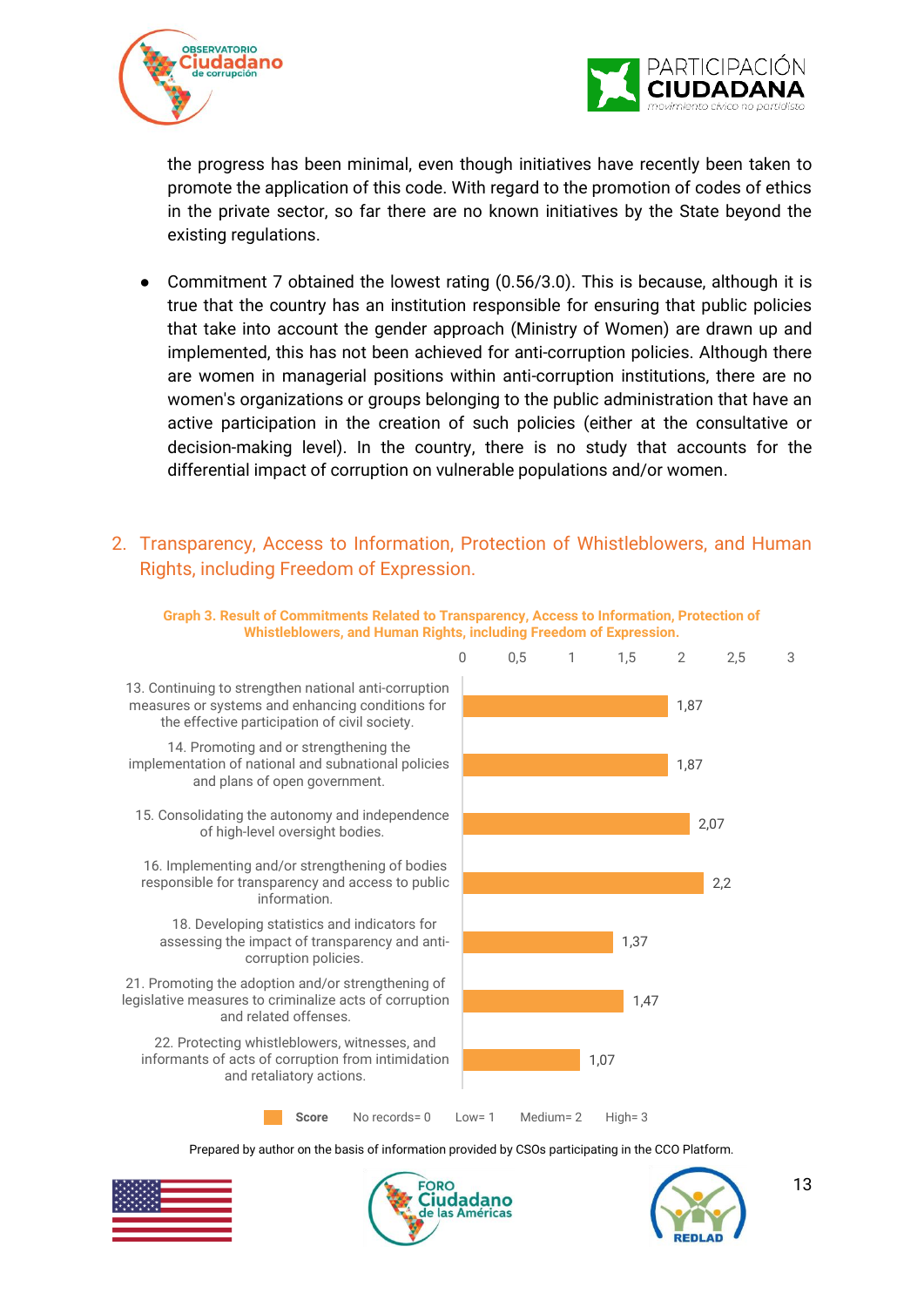



the progress has been minimal, even though initiatives have recently been taken to promote the application of this code. With regard to the promotion of codes of ethics in the private sector, so far there are no known initiatives by the State beyond the existing regulations.

- Commitment 7 obtained the lowest rating (0.56/3.0). This is because, although it is true that the country has an institution responsible for ensuring that public policies that take into account the gender approach (Ministry of Women) are drawn up and implemented, this has not been achieved for anti-corruption policies. Although there are women in managerial positions within anti-corruption institutions, there are no women's organizations or groups belonging to the public administration that have an active participation in the creation of such policies (either at the consultative or decision-making level). In the country, there is no study that accounts for the differential impact of corruption on vulnerable populations and/or women.
- <span id="page-12-0"></span>2. Transparency, Access to Information, Protection of Whistleblowers, and Human Rights, including Freedom of Expression.



**Graph 3. Result of Commitments Related to Transparency, Access to Information, Protection of Whistleblowers, and Human Rights, including Freedom of Expression.**

Prepared by author on the basis of information provided by CSOs participating in the CCO Platform.





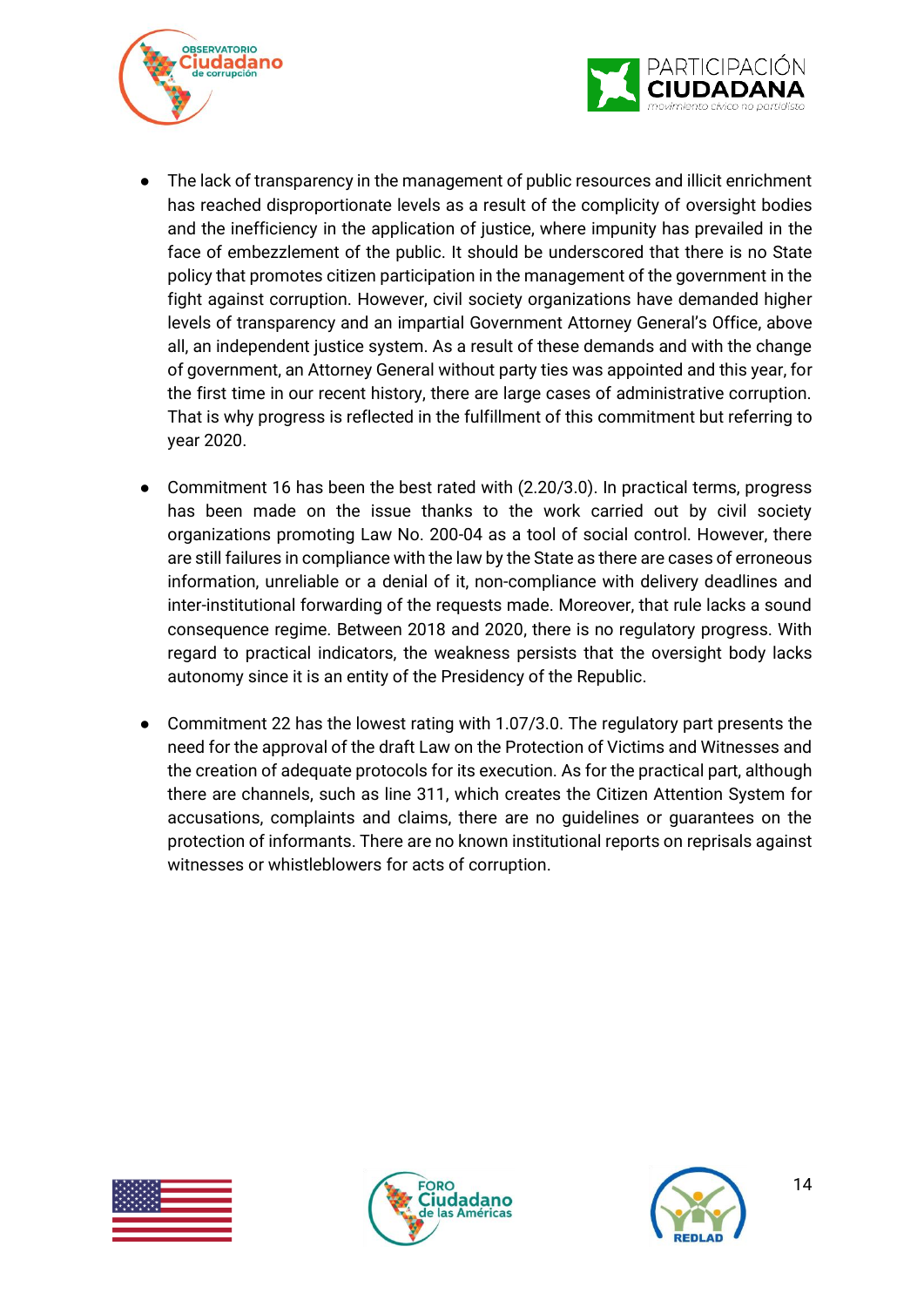



- The lack of transparency in the management of public resources and illicit enrichment has reached disproportionate levels as a result of the complicity of oversight bodies and the inefficiency in the application of justice, where impunity has prevailed in the face of embezzlement of the public. It should be underscored that there is no State policy that promotes citizen participation in the management of the government in the fight against corruption. However, civil society organizations have demanded higher levels of transparency and an impartial Government Attorney General's Office, above all, an independent justice system. As a result of these demands and with the change of government, an Attorney General without party ties was appointed and this year, for the first time in our recent history, there are large cases of administrative corruption. That is why progress is reflected in the fulfillment of this commitment but referring to year 2020.
- Commitment 16 has been the best rated with (2.20/3.0). In practical terms, progress has been made on the issue thanks to the work carried out by civil society organizations promoting Law No. 200-04 as a tool of social control. However, there are still failures in compliance with the law by the State as there are cases of erroneous information, unreliable or a denial of it, non-compliance with delivery deadlines and inter-institutional forwarding of the requests made. Moreover, that rule lacks a sound consequence regime. Between 2018 and 2020, there is no regulatory progress. With regard to practical indicators, the weakness persists that the oversight body lacks autonomy since it is an entity of the Presidency of the Republic.
- Commitment 22 has the lowest rating with 1.07/3.0. The regulatory part presents the need for the approval of the draft Law on the Protection of Victims and Witnesses and the creation of adequate protocols for its execution. As for the practical part, although there are channels, such as line 311, which creates the Citizen Attention System for accusations, complaints and claims, there are no guidelines or guarantees on the protection of informants. There are no known institutional reports on reprisals against witnesses or whistleblowers for acts of corruption.





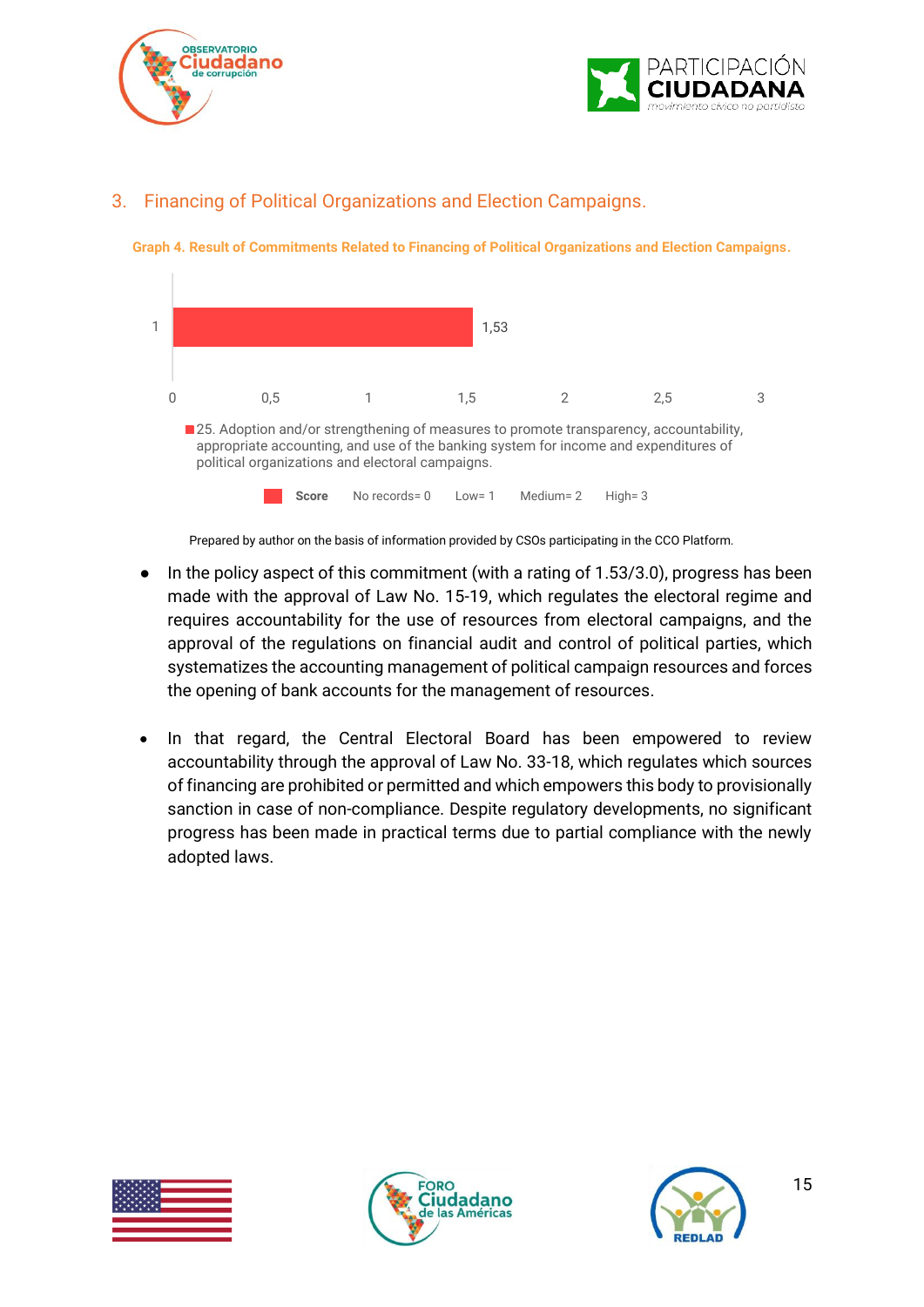



### <span id="page-14-0"></span>3. Financing of Political Organizations and Election Campaigns.





Prepared by author on the basis of information provided by CSOs participating in the CCO Platform.

- In the policy aspect of this commitment (with a rating of 1.53/3.0), progress has been made with the approval of Law No. 15-19, which regulates the electoral regime and requires accountability for the use of resources from electoral campaigns, and the approval of the regulations on financial audit and control of political parties, which systematizes the accounting management of political campaign resources and forces the opening of bank accounts for the management of resources.
- In that regard, the Central Electoral Board has been empowered to review accountability through the approval of Law No. 33-18, which regulates which sources of financing are prohibited or permitted and which empowers this body to provisionally sanction in case of non-compliance. Despite regulatory developments, no significant progress has been made in practical terms due to partial compliance with the newly adopted laws.





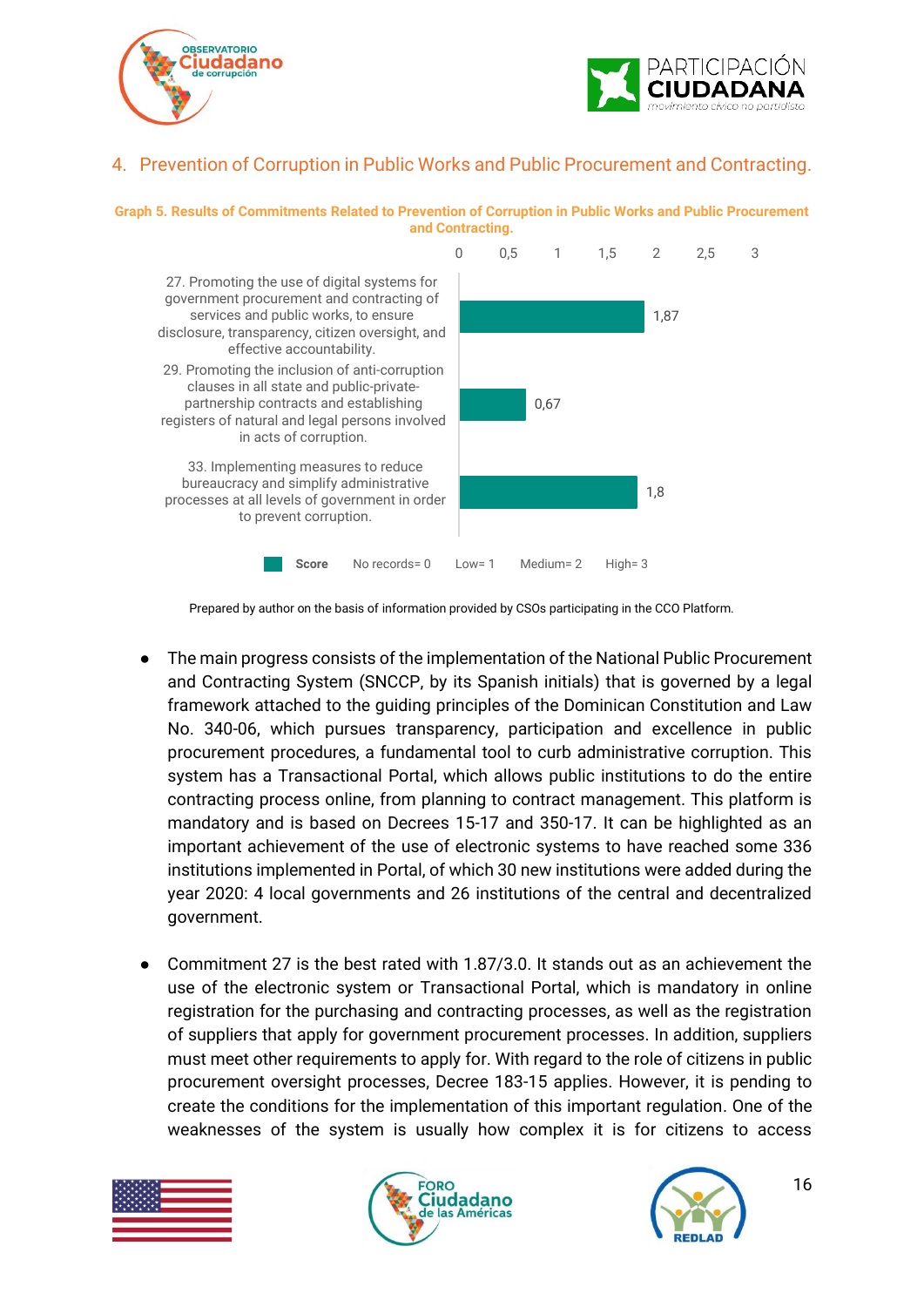



#### <span id="page-15-0"></span>4. Prevention of Corruption in Public Works and Public Procurement and Contracting.





Prepared by author on the basis of information provided by CSOs participating in the CCO Platform.

- The main progress consists of the implementation of the National Public Procurement and Contracting System (SNCCP, by its Spanish initials) that is governed by a legal framework attached to the guiding principles of the Dominican Constitution and Law No. 340-06, which pursues transparency, participation and excellence in public procurement procedures, a fundamental tool to curb administrative corruption. This system has a Transactional Portal, which allows public institutions to do the entire contracting process online, from planning to contract management. This platform is mandatory and is based on Decrees 15-17 and 350-17. It can be highlighted as an important achievement of the use of electronic systems to have reached some 336 institutions implemented in Portal, of which 30 new institutions were added during the year 2020: 4 local governments and 26 institutions of the central and decentralized government.
- Commitment 27 is the best rated with 1.87/3.0. It stands out as an achievement the use of the electronic system or Transactional Portal, which is mandatory in online registration for the purchasing and contracting processes, as well as the registration of suppliers that apply for government procurement processes. In addition, suppliers must meet other requirements to apply for. With regard to the role of citizens in public procurement oversight processes, Decree 183-15 applies. However, it is pending to create the conditions for the implementation of this important regulation. One of the weaknesses of the system is usually how complex it is for citizens to access





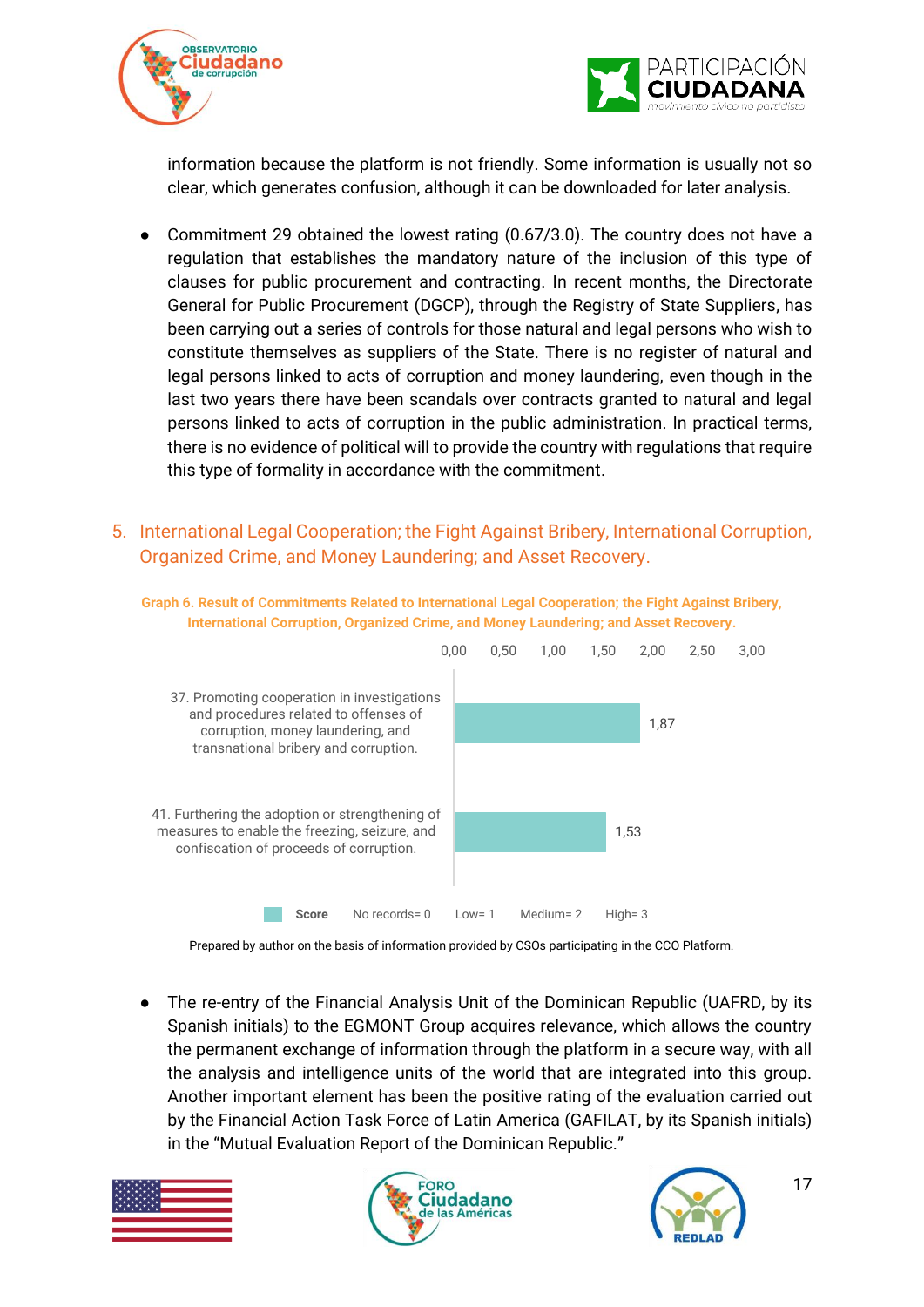



information because the platform is not friendly. Some information is usually not so clear, which generates confusion, although it can be downloaded for later analysis.

- Commitment 29 obtained the lowest rating  $(0.67/3.0)$ . The country does not have a regulation that establishes the mandatory nature of the inclusion of this type of clauses for public procurement and contracting. In recent months, the Directorate General for Public Procurement (DGCP), through the Registry of State Suppliers, has been carrying out a series of controls for those natural and legal persons who wish to constitute themselves as suppliers of the State. There is no register of natural and legal persons linked to acts of corruption and money laundering, even though in the last two years there have been scandals over contracts granted to natural and legal persons linked to acts of corruption in the public administration. In practical terms, there is no evidence of political will to provide the country with regulations that require this type of formality in accordance with the commitment.
- <span id="page-16-0"></span>5. International Legal Cooperation; the Fight Against Bribery, International Corruption, Organized Crime, and Money Laundering; and Asset Recovery.





Prepared by author on the basis of information provided by CSOs participating in the CCO Platform.

• The re-entry of the Financial Analysis Unit of the Dominican Republic (UAFRD, by its Spanish initials) to the EGMONT Group acquires relevance, which allows the country the permanent exchange of information through the platform in a secure way, with all the analysis and intelligence units of the world that are integrated into this group. Another important element has been the positive rating of the evaluation carried out by the Financial Action Task Force of Latin America (GAFILAT, by its Spanish initials) in the "Mutual Evaluation Report of the Dominican Republic."





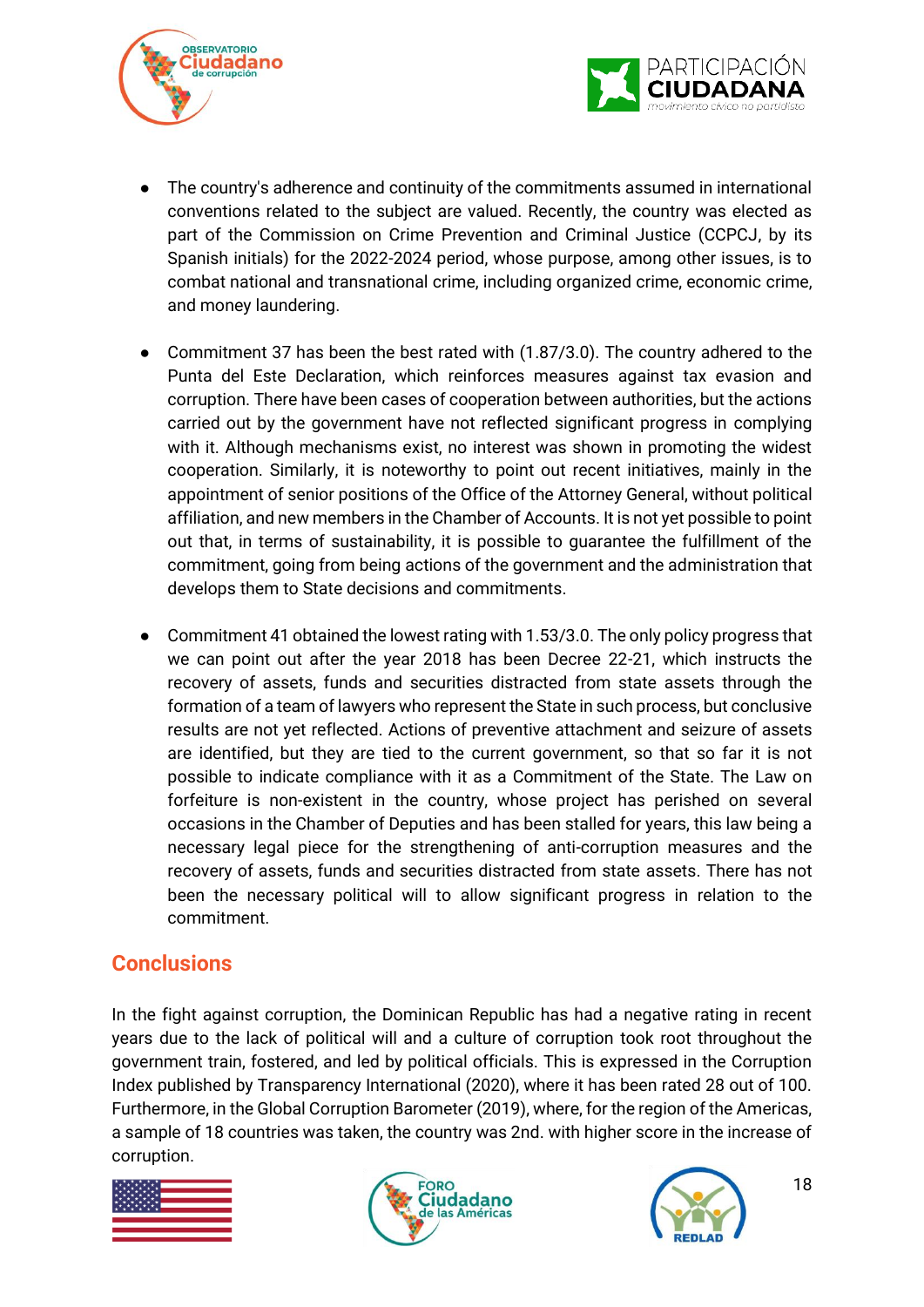



- The country's adherence and continuity of the commitments assumed in international conventions related to the subject are valued. Recently, the country was elected as part of the Commission on Crime Prevention and Criminal Justice (CCPCJ, by its Spanish initials) for the 2022-2024 period, whose purpose, among other issues, is to combat national and transnational crime, including organized crime, economic crime, and money laundering.
- Commitment 37 has been the best rated with (1.87/3.0). The country adhered to the Punta del Este Declaration, which reinforces measures against tax evasion and corruption. There have been cases of cooperation between authorities, but the actions carried out by the government have not reflected significant progress in complying with it. Although mechanisms exist, no interest was shown in promoting the widest cooperation. Similarly, it is noteworthy to point out recent initiatives, mainly in the appointment of senior positions of the Office of the Attorney General, without political affiliation, and new members in the Chamber of Accounts. It is not yet possible to point out that, in terms of sustainability, it is possible to guarantee the fulfillment of the commitment, going from being actions of the government and the administration that develops them to State decisions and commitments.
- Commitment 41 obtained the lowest rating with 1.53/3.0. The only policy progress that we can point out after the year 2018 has been Decree 22-21, which instructs the recovery of assets, funds and securities distracted from state assets through the formation of a team of lawyers who represent the State in such process, but conclusive results are not yet reflected. Actions of preventive attachment and seizure of assets are identified, but they are tied to the current government, so that so far it is not possible to indicate compliance with it as a Commitment of the State. The Law on forfeiture is non-existent in the country, whose project has perished on several occasions in the Chamber of Deputies and has been stalled for years, this law being a necessary legal piece for the strengthening of anti-corruption measures and the recovery of assets, funds and securities distracted from state assets. There has not been the necessary political will to allow significant progress in relation to the commitment.

### <span id="page-17-0"></span>**Conclusions**

In the fight against corruption, the Dominican Republic has had a negative rating in recent years due to the lack of political will and a culture of corruption took root throughout the government train, fostered, and led by political officials. This is expressed in the Corruption Index published by Transparency International (2020), where it has been rated 28 out of 100. Furthermore, in the Global Corruption Barometer (2019), where, for the region of the Americas, a sample of 18 countries was taken, the country was 2nd. with higher score in the increase of corruption.





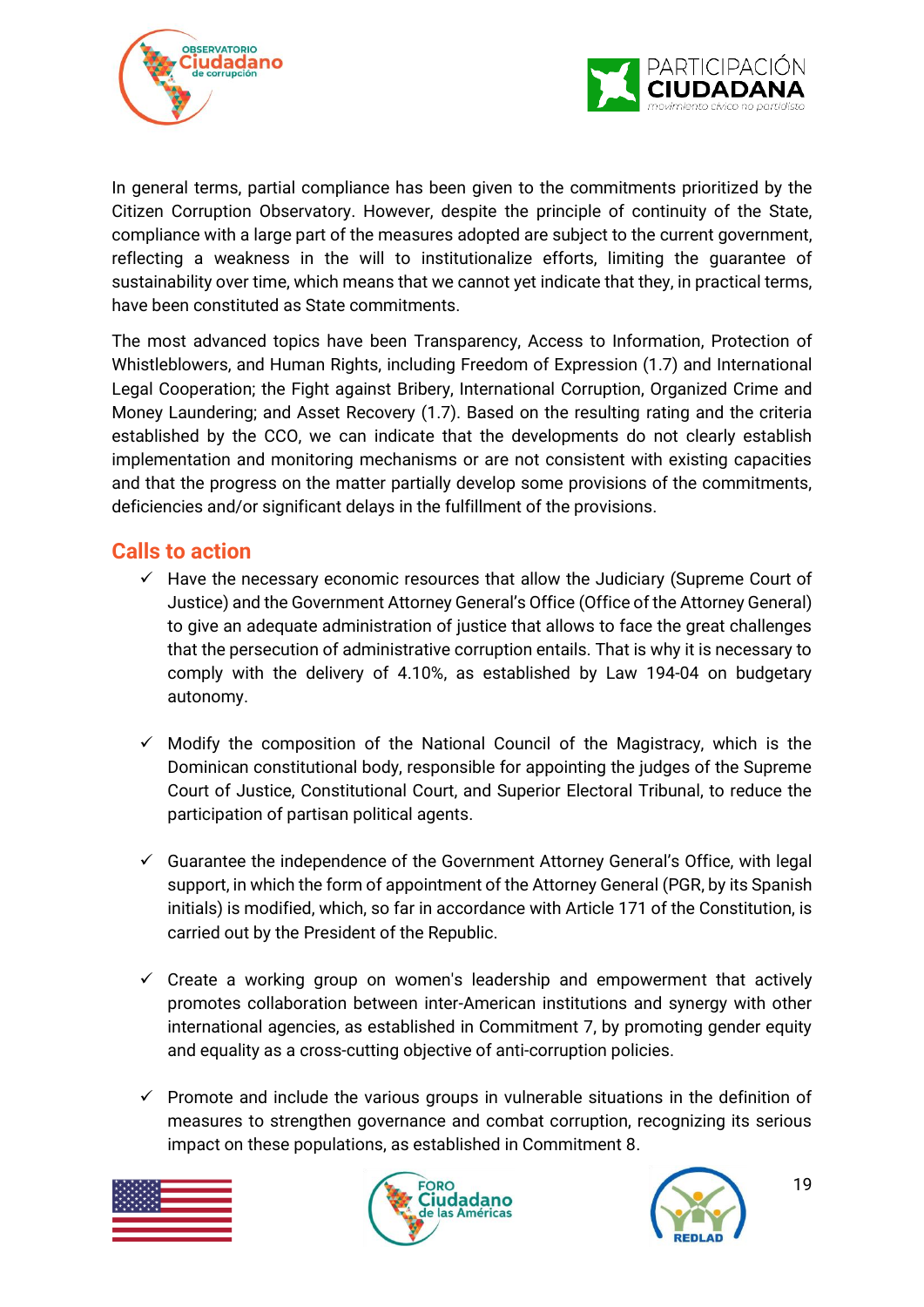



In general terms, partial compliance has been given to the commitments prioritized by the Citizen Corruption Observatory. However, despite the principle of continuity of the State, compliance with a large part of the measures adopted are subject to the current government, reflecting a weakness in the will to institutionalize efforts, limiting the guarantee of sustainability over time, which means that we cannot yet indicate that they, in practical terms, have been constituted as State commitments.

The most advanced topics have been Transparency, Access to Information, Protection of Whistleblowers, and Human Rights, including Freedom of Expression (1.7) and International Legal Cooperation; the Fight against Bribery, International Corruption, Organized Crime and Money Laundering; and Asset Recovery (1.7). Based on the resulting rating and the criteria established by the CCO, we can indicate that the developments do not clearly establish implementation and monitoring mechanisms or are not consistent with existing capacities and that the progress on the matter partially develop some provisions of the commitments, deficiencies and/or significant delays in the fulfillment of the provisions.

### <span id="page-18-0"></span>**Calls to action**

- $\checkmark$  Have the necessary economic resources that allow the Judiciary (Supreme Court of Justice) and the Government Attorney General's Office (Office of the Attorney General) to give an adequate administration of justice that allows to face the great challenges that the persecution of administrative corruption entails. That is why it is necessary to comply with the delivery of 4.10%, as established by Law 194-04 on budgetary autonomy.
- $\checkmark$  Modify the composition of the National Council of the Magistracy, which is the Dominican constitutional body, responsible for appointing the judges of the Supreme Court of Justice, Constitutional Court, and Superior Electoral Tribunal, to reduce the participation of partisan political agents.
- $\checkmark$  Guarantee the independence of the Government Attorney General's Office, with legal support, in which the form of appointment of the Attorney General (PGR, by its Spanish initials) is modified, which, so far in accordance with Article 171 of the Constitution, is carried out by the President of the Republic.
- $\checkmark$  Create a working group on women's leadership and empowerment that actively promotes collaboration between inter-American institutions and synergy with other international agencies, as established in Commitment 7, by promoting gender equity and equality as a cross-cutting objective of anti-corruption policies.
- $\checkmark$  Promote and include the various groups in vulnerable situations in the definition of measures to strengthen governance and combat corruption, recognizing its serious impact on these populations, as established in Commitment 8.





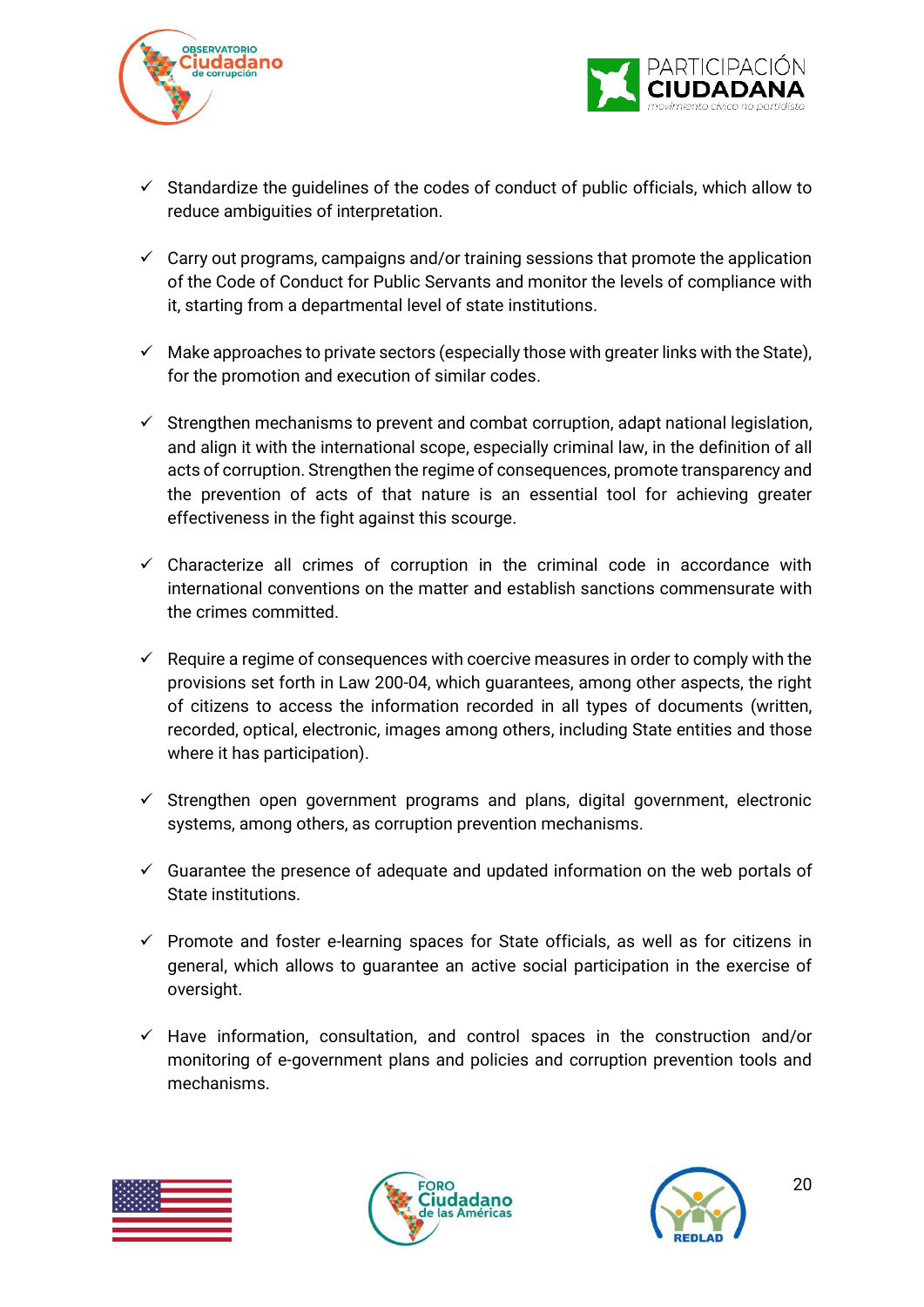



- $\checkmark$  Standardize the quidelines of the codes of conduct of public officials, which allow to reduce ambiguities of interpretation.
- $\checkmark$  Carry out programs, campaigns and/or training sessions that promote the application of the Code of Conduct for Public Servants and monitor the levels of compliance with it, starting from a departmental level of state institutions.
- $\checkmark$  Make approaches to private sectors (especially those with greater links with the State), for the promotion and execution of similar codes.
- $\checkmark$  Strengthen mechanisms to prevent and combat corruption, adapt national legislation, and align it with the international scope, especially criminal law, in the definition of all acts of corruption. Strengthen the regime of consequences, promote transparency and the prevention of acts of that nature is an essential tool for achieving greater effectiveness in the fight against this scourge.
- $\checkmark$  Characterize all crimes of corruption in the criminal code in accordance with international conventions on the matter and establish sanctions commensurate with the crimes committed.
- $\checkmark$  Require a regime of consequences with coercive measures in order to comply with the provisions set forth in Law 200-04, which guarantees, among other aspects, the right of citizens to access the information recorded in all types of documents (written, recorded, optical, electronic, images among others, including State entities and those where it has participation).
- $\checkmark$  Strengthen open government programs and plans, digital government, electronic systems, among others, as corruption prevention mechanisms.
- $\checkmark$  Guarantee the presence of adequate and updated information on the web portals of State institutions.
- $\checkmark$  Promote and foster e-learning spaces for State officials, as well as for citizens in general, which allows to guarantee an active social participation in the exercise of oversight.
- $\checkmark$  Have information, consultation, and control spaces in the construction and/or monitoring of e-government plans and policies and corruption prevention tools and mechanisms.





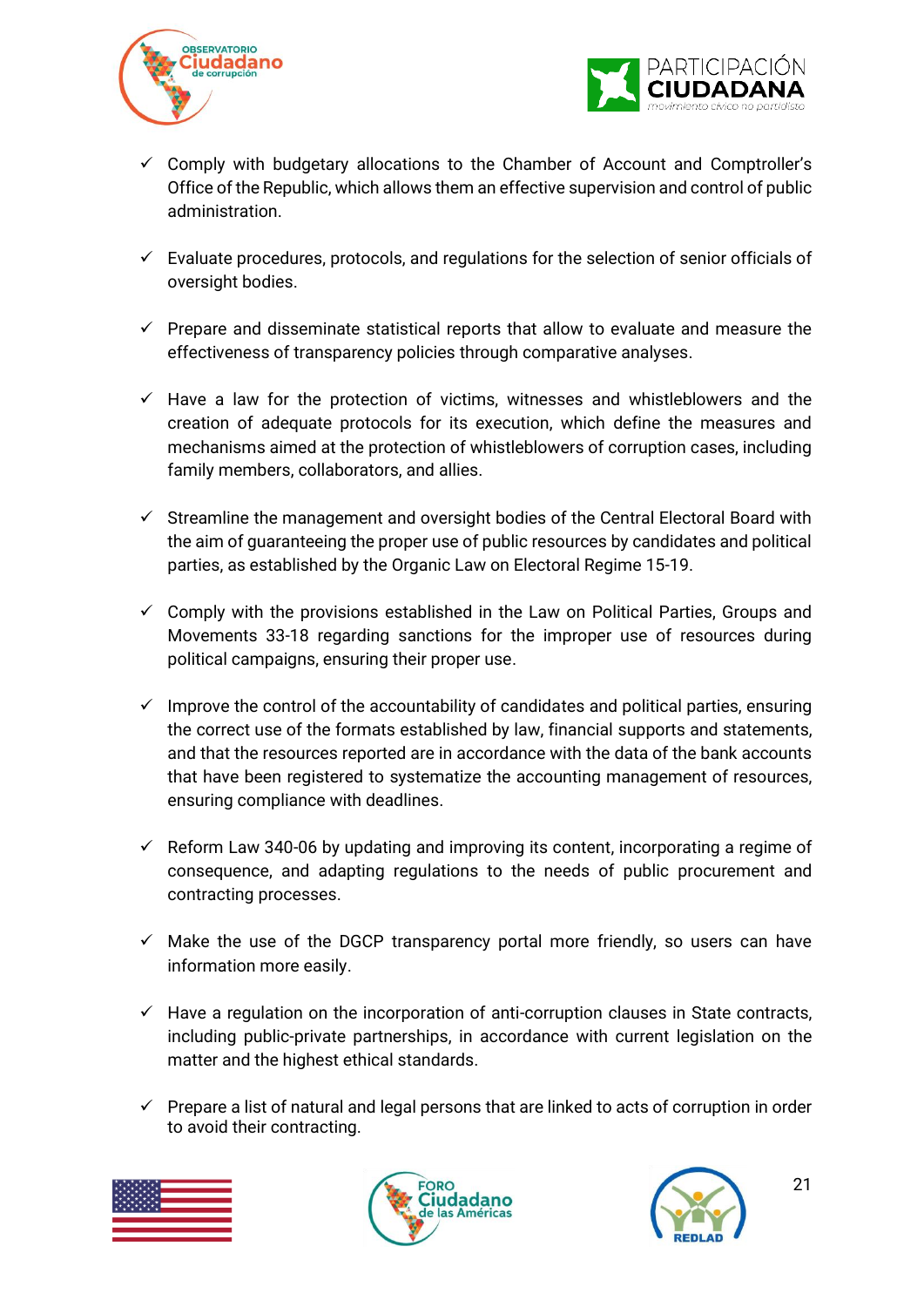



- $\checkmark$  Comply with budgetary allocations to the Chamber of Account and Comptroller's Office of the Republic, which allows them an effective supervision and control of public administration.
- $\checkmark$  Evaluate procedures, protocols, and regulations for the selection of senior officials of oversight bodies.
- $\checkmark$  Prepare and disseminate statistical reports that allow to evaluate and measure the effectiveness of transparency policies through comparative analyses.
- $\checkmark$  Have a law for the protection of victims, witnesses and whistleblowers and the creation of adequate protocols for its execution, which define the measures and mechanisms aimed at the protection of whistleblowers of corruption cases, including family members, collaborators, and allies.
- $\checkmark$  Streamline the management and oversight bodies of the Central Electoral Board with the aim of guaranteeing the proper use of public resources by candidates and political parties, as established by the Organic Law on Electoral Regime 15-19.
- $\checkmark$  Comply with the provisions established in the Law on Political Parties, Groups and Movements 33-18 regarding sanctions for the improper use of resources during political campaigns, ensuring their proper use.
- $\checkmark$  Improve the control of the accountability of candidates and political parties, ensuring the correct use of the formats established by law, financial supports and statements, and that the resources reported are in accordance with the data of the bank accounts that have been registered to systematize the accounting management of resources, ensuring compliance with deadlines.
- $\checkmark$  Reform Law 340-06 by updating and improving its content, incorporating a regime of consequence, and adapting regulations to the needs of public procurement and contracting processes.
- $\checkmark$  Make the use of the DGCP transparency portal more friendly, so users can have information more easily.
- $\checkmark$  Have a regulation on the incorporation of anti-corruption clauses in State contracts, including public-private partnerships, in accordance with current legislation on the matter and the highest ethical standards.
- ✓ Prepare a list of natural and legal persons that are linked to acts of corruption in order to avoid their contracting.





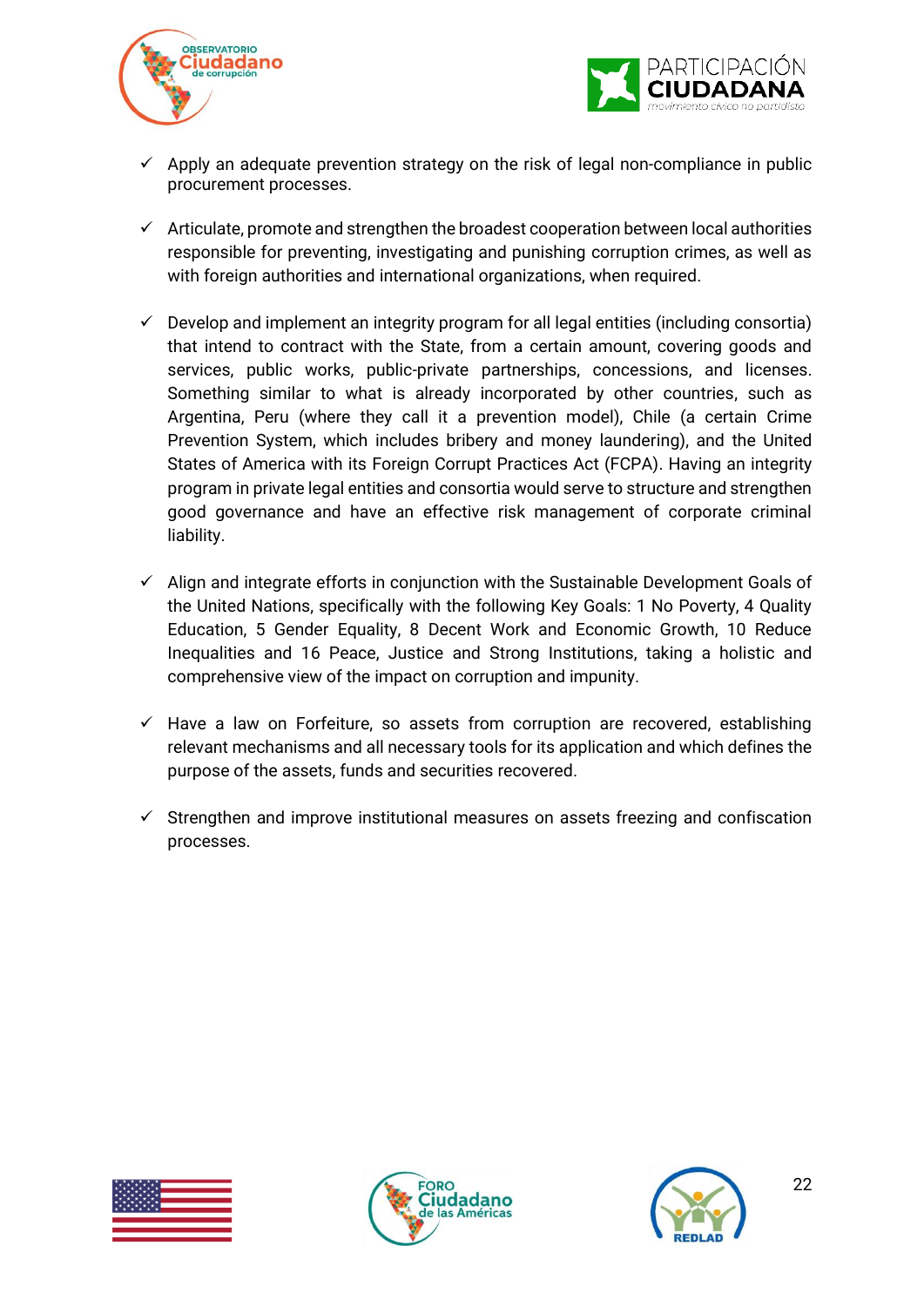



- $\checkmark$  Apply an adequate prevention strategy on the risk of legal non-compliance in public procurement processes.
- $\checkmark$  Articulate, promote and strengthen the broadest cooperation between local authorities responsible for preventing, investigating and punishing corruption crimes, as well as with foreign authorities and international organizations, when required.
- $\checkmark$  Develop and implement an integrity program for all legal entities (including consortia) that intend to contract with the State, from a certain amount, covering goods and services, public works, public-private partnerships, concessions, and licenses. Something similar to what is already incorporated by other countries, such as Argentina, Peru (where they call it a prevention model), Chile (a certain Crime Prevention System, which includes bribery and money laundering), and the United States of America with its Foreign Corrupt Practices Act (FCPA). Having an integrity program in private legal entities and consortia would serve to structure and strengthen good governance and have an effective risk management of corporate criminal liability.
- $\checkmark$  Align and integrate efforts in conjunction with the Sustainable Development Goals of the United Nations, specifically with the following Key Goals: 1 No Poverty, 4 Quality Education, 5 Gender Equality, 8 Decent Work and Economic Growth, 10 Reduce Inequalities and 16 Peace, Justice and Strong Institutions, taking a holistic and comprehensive view of the impact on corruption and impunity.
- $\checkmark$  Have a law on Forfeiture, so assets from corruption are recovered, establishing relevant mechanisms and all necessary tools for its application and which defines the purpose of the assets, funds and securities recovered.
- $\checkmark$  Strengthen and improve institutional measures on assets freezing and confiscation processes.





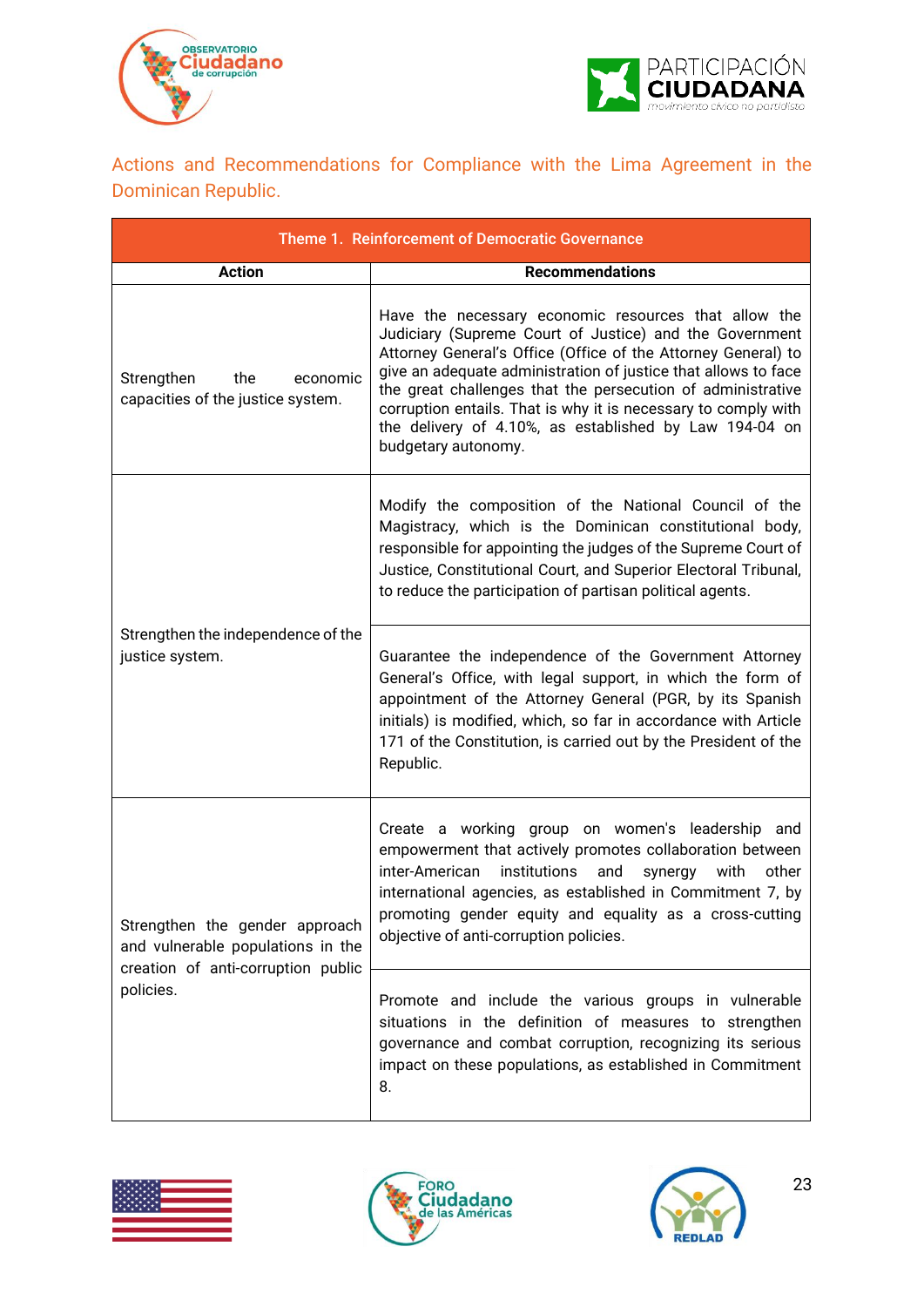



<span id="page-22-0"></span>Actions and Recommendations for Compliance with the Lima Agreement in the Dominican Republic.

| Theme 1. Reinforcement of Democratic Governance                                                           |                                                                                                                                                                                                                                                                                                                                                                                                                                                                      |  |  |  |  |
|-----------------------------------------------------------------------------------------------------------|----------------------------------------------------------------------------------------------------------------------------------------------------------------------------------------------------------------------------------------------------------------------------------------------------------------------------------------------------------------------------------------------------------------------------------------------------------------------|--|--|--|--|
| <b>Action</b>                                                                                             | <b>Recommendations</b>                                                                                                                                                                                                                                                                                                                                                                                                                                               |  |  |  |  |
| Strengthen<br>the<br>economic<br>capacities of the justice system.                                        | Have the necessary economic resources that allow the<br>Judiciary (Supreme Court of Justice) and the Government<br>Attorney General's Office (Office of the Attorney General) to<br>give an adequate administration of justice that allows to face<br>the great challenges that the persecution of administrative<br>corruption entails. That is why it is necessary to comply with<br>the delivery of 4.10%, as established by Law 194-04 on<br>budgetary autonomy. |  |  |  |  |
|                                                                                                           | Modify the composition of the National Council of the<br>Magistracy, which is the Dominican constitutional body,<br>responsible for appointing the judges of the Supreme Court of<br>Justice, Constitutional Court, and Superior Electoral Tribunal,<br>to reduce the participation of partisan political agents.                                                                                                                                                    |  |  |  |  |
| Strengthen the independence of the<br>justice system.                                                     | Guarantee the independence of the Government Attorney<br>General's Office, with legal support, in which the form of<br>appointment of the Attorney General (PGR, by its Spanish<br>initials) is modified, which, so far in accordance with Article<br>171 of the Constitution, is carried out by the President of the<br>Republic.                                                                                                                                   |  |  |  |  |
| Strengthen the gender approach<br>and vulnerable populations in the<br>creation of anti-corruption public | Create a working group on women's leadership and<br>empowerment that actively promotes collaboration between<br>inter-American<br>institutions<br>with<br>and<br>synergy<br>other<br>international agencies, as established in Commitment 7, by<br>promoting gender equity and equality as a cross-cutting<br>objective of anti-corruption policies.                                                                                                                 |  |  |  |  |
| policies.                                                                                                 | Promote and include the various groups in vulnerable<br>situations in the definition of measures to strengthen<br>governance and combat corruption, recognizing its serious<br>impact on these populations, as established in Commitment<br>8.                                                                                                                                                                                                                       |  |  |  |  |





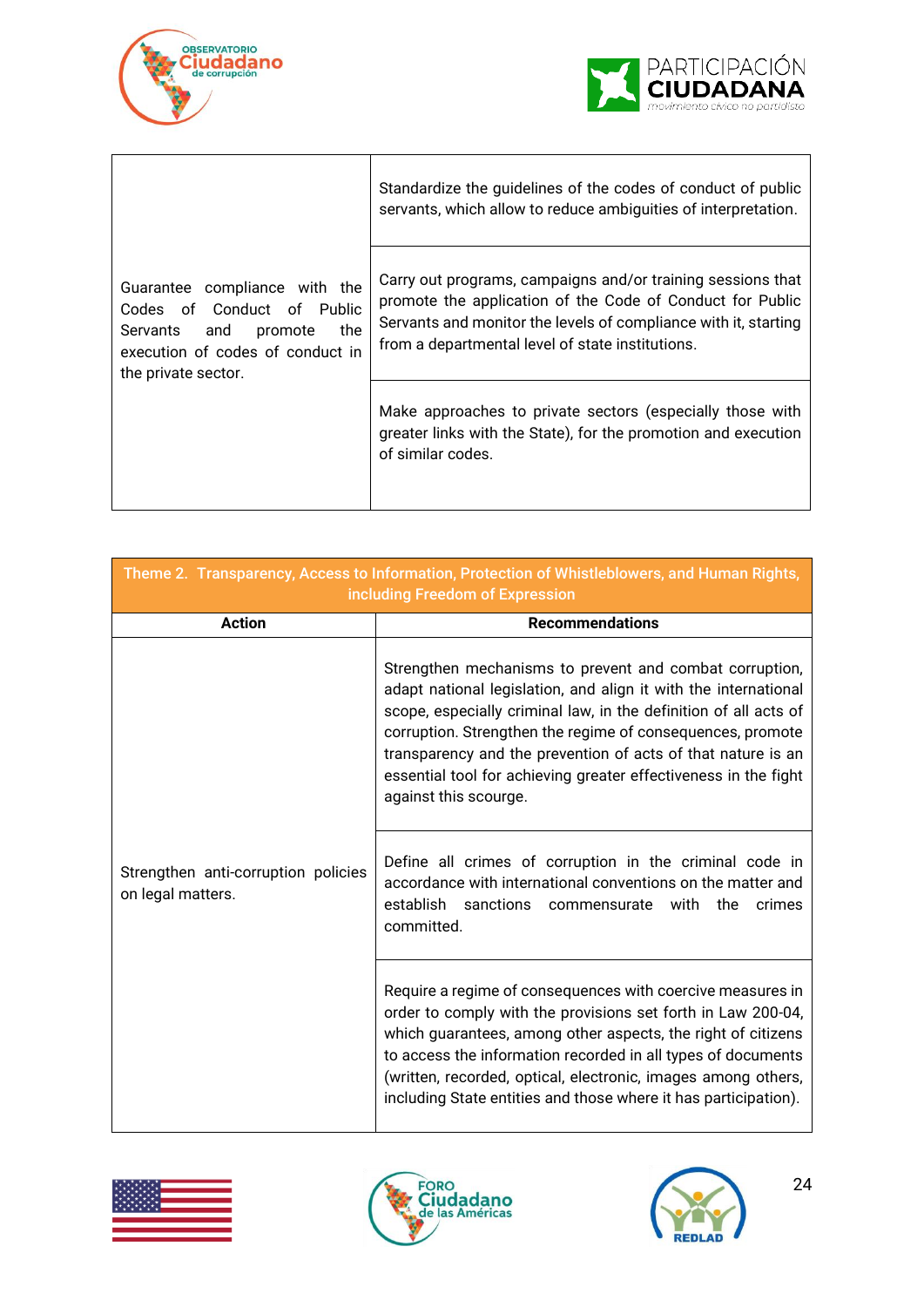



|                                                                                                                                                          | Standardize the guidelines of the codes of conduct of public<br>servants, which allow to reduce ambiguities of interpretation.                                                                                                                  |
|----------------------------------------------------------------------------------------------------------------------------------------------------------|-------------------------------------------------------------------------------------------------------------------------------------------------------------------------------------------------------------------------------------------------|
| Guarantee compliance with the<br>Codes of Conduct of Public<br>the<br>Servants and<br>promote<br>execution of codes of conduct in<br>the private sector. | Carry out programs, campaigns and/or training sessions that<br>promote the application of the Code of Conduct for Public<br>Servants and monitor the levels of compliance with it, starting<br>from a departmental level of state institutions. |
|                                                                                                                                                          | Make approaches to private sectors (especially those with<br>greater links with the State), for the promotion and execution<br>of similar codes.                                                                                                |

| Theme 2. Transparency, Access to Information, Protection of Whistleblowers, and Human Rights,<br>including Freedom of Expression |                                                                                                                                                                                                                                                                                                                                                                                                                          |  |  |  |
|----------------------------------------------------------------------------------------------------------------------------------|--------------------------------------------------------------------------------------------------------------------------------------------------------------------------------------------------------------------------------------------------------------------------------------------------------------------------------------------------------------------------------------------------------------------------|--|--|--|
| <b>Action</b><br><b>Recommendations</b>                                                                                          |                                                                                                                                                                                                                                                                                                                                                                                                                          |  |  |  |
| Strengthen anti-corruption policies<br>on legal matters.                                                                         | Strengthen mechanisms to prevent and combat corruption,<br>adapt national legislation, and align it with the international<br>scope, especially criminal law, in the definition of all acts of<br>corruption. Strengthen the regime of consequences, promote<br>transparency and the prevention of acts of that nature is an<br>essential tool for achieving greater effectiveness in the fight<br>against this scourge. |  |  |  |
|                                                                                                                                  | Define all crimes of corruption in the criminal code in<br>accordance with international conventions on the matter and<br>establish sanctions<br>with<br>the<br>crimes<br>commensurate<br>committed.                                                                                                                                                                                                                     |  |  |  |
|                                                                                                                                  | Require a regime of consequences with coercive measures in<br>order to comply with the provisions set forth in Law 200-04,<br>which guarantees, among other aspects, the right of citizens<br>to access the information recorded in all types of documents<br>(written, recorded, optical, electronic, images among others,<br>including State entities and those where it has participation).                           |  |  |  |





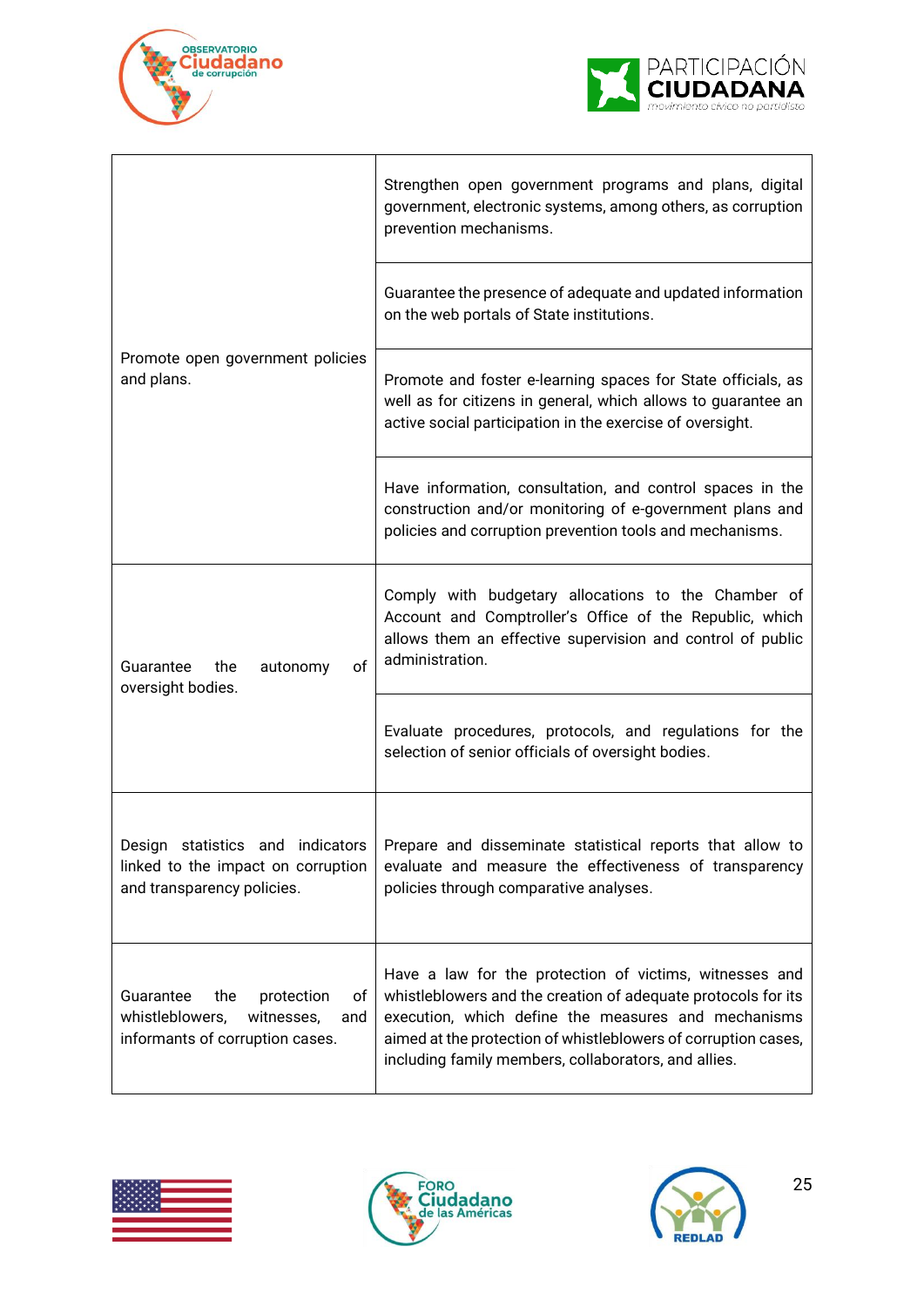



|                                                                                                                 | Strengthen open government programs and plans, digital<br>government, electronic systems, among others, as corruption<br>prevention mechanisms.                                                                                                                                                           |
|-----------------------------------------------------------------------------------------------------------------|-----------------------------------------------------------------------------------------------------------------------------------------------------------------------------------------------------------------------------------------------------------------------------------------------------------|
| Promote open government policies<br>and plans.                                                                  | Guarantee the presence of adequate and updated information<br>on the web portals of State institutions.                                                                                                                                                                                                   |
|                                                                                                                 | Promote and foster e-learning spaces for State officials, as<br>well as for citizens in general, which allows to guarantee an<br>active social participation in the exercise of oversight.                                                                                                                |
|                                                                                                                 | Have information, consultation, and control spaces in the<br>construction and/or monitoring of e-government plans and<br>policies and corruption prevention tools and mechanisms.                                                                                                                         |
| of<br>Guarantee<br>autonomy<br>the<br>oversight bodies.                                                         | Comply with budgetary allocations to the Chamber of<br>Account and Comptroller's Office of the Republic, which<br>allows them an effective supervision and control of public<br>administration.                                                                                                           |
|                                                                                                                 | Evaluate procedures, protocols, and regulations for the<br>selection of senior officials of oversight bodies.                                                                                                                                                                                             |
| linked to the impact on corruption<br>and transparency policies.                                                | Design statistics and indicators   Prepare and disseminate statistical reports that allow to<br>evaluate and measure the effectiveness of transparency<br>policies through comparative analyses.                                                                                                          |
| Guarantee<br>the<br>protection<br>οf<br>whistleblowers,<br>witnesses,<br>and<br>informants of corruption cases. | Have a law for the protection of victims, witnesses and<br>whistleblowers and the creation of adequate protocols for its<br>execution, which define the measures and mechanisms<br>aimed at the protection of whistleblowers of corruption cases,<br>including family members, collaborators, and allies. |





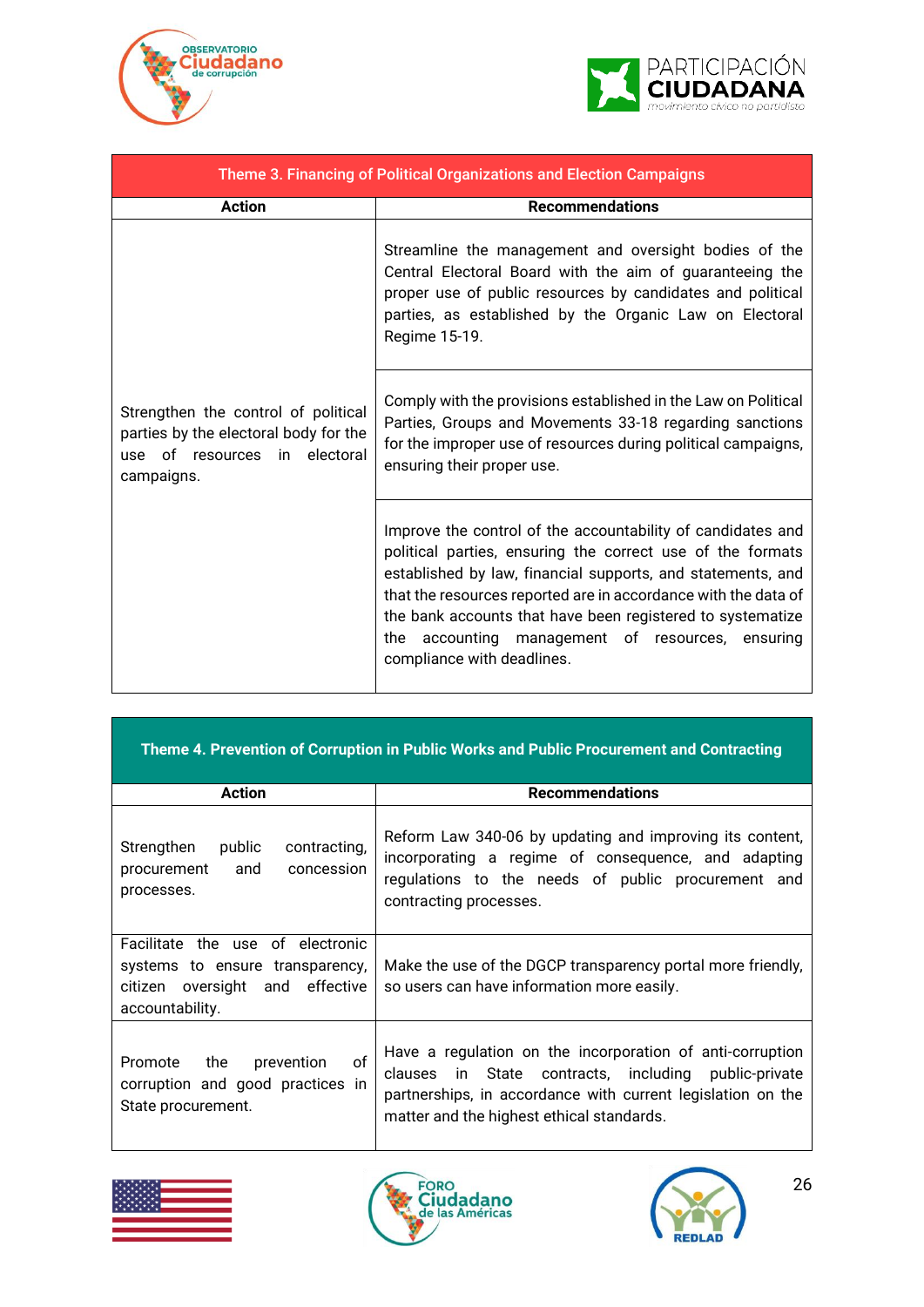



| Theme 3. Financing of Political Organizations and Election Campaigns                                                           |                                                                                                                                                                                                                                                                                                                                                                                                            |  |  |  |  |
|--------------------------------------------------------------------------------------------------------------------------------|------------------------------------------------------------------------------------------------------------------------------------------------------------------------------------------------------------------------------------------------------------------------------------------------------------------------------------------------------------------------------------------------------------|--|--|--|--|
| <b>Action</b>                                                                                                                  | <b>Recommendations</b>                                                                                                                                                                                                                                                                                                                                                                                     |  |  |  |  |
| Strengthen the control of political<br>parties by the electoral body for the<br>in electoral<br>use of resources<br>campaigns. | Streamline the management and oversight bodies of the<br>Central Electoral Board with the aim of guaranteeing the<br>proper use of public resources by candidates and political<br>parties, as established by the Organic Law on Electoral<br>Regime 15-19.                                                                                                                                                |  |  |  |  |
|                                                                                                                                | Comply with the provisions established in the Law on Political<br>Parties, Groups and Movements 33-18 regarding sanctions<br>for the improper use of resources during political campaigns,<br>ensuring their proper use.                                                                                                                                                                                   |  |  |  |  |
|                                                                                                                                | Improve the control of the accountability of candidates and<br>political parties, ensuring the correct use of the formats<br>established by law, financial supports, and statements, and<br>that the resources reported are in accordance with the data of<br>the bank accounts that have been registered to systematize<br>the accounting management of resources, ensuring<br>compliance with deadlines. |  |  |  |  |

|                                                                                                                           | Theme 4. Prevention of Corruption in Public Works and Public Procurement and Contracting                                                                                                                                               |
|---------------------------------------------------------------------------------------------------------------------------|----------------------------------------------------------------------------------------------------------------------------------------------------------------------------------------------------------------------------------------|
| <b>Action</b>                                                                                                             | <b>Recommendations</b>                                                                                                                                                                                                                 |
| Strengthen<br>public<br>contracting,<br>concession<br>procurement<br>and<br>processes.                                    | Reform Law 340-06 by updating and improving its content,<br>incorporating a regime of consequence, and adapting<br>regulations to the needs of public procurement and<br>contracting processes.                                        |
| Facilitate the use of electronic<br>systems to ensure transparency,<br>citizen oversight and effective<br>accountability. | Make the use of the DGCP transparency portal more friendly,<br>so users can have information more easily.                                                                                                                              |
| of<br>the<br>prevention<br>Promote<br>corruption and good practices in<br>State procurement.                              | Have a regulation on the incorporation of anti-corruption<br>State contracts, including public-private<br>clauses<br>in in<br>partnerships, in accordance with current legislation on the<br>matter and the highest ethical standards. |





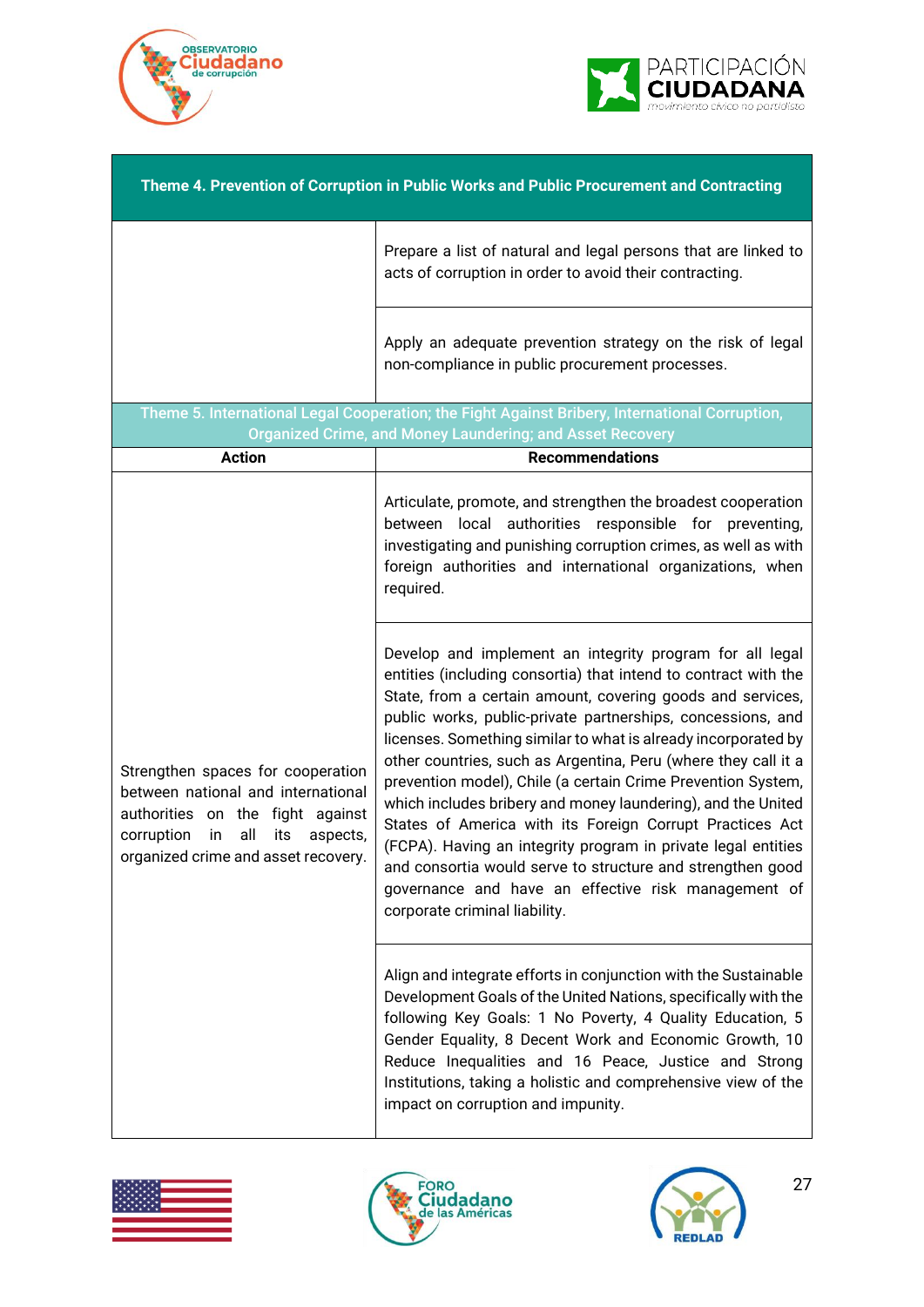



| Theme 4. Prevention of Corruption in Public Works and Public Procurement and Contracting                                                                                                         |                                                                                                                                                                                                                                                                                                                                                                                                                                                                                                                                                                                                                                                                                                                                                                                                                 |  |  |  |
|--------------------------------------------------------------------------------------------------------------------------------------------------------------------------------------------------|-----------------------------------------------------------------------------------------------------------------------------------------------------------------------------------------------------------------------------------------------------------------------------------------------------------------------------------------------------------------------------------------------------------------------------------------------------------------------------------------------------------------------------------------------------------------------------------------------------------------------------------------------------------------------------------------------------------------------------------------------------------------------------------------------------------------|--|--|--|
|                                                                                                                                                                                                  | Prepare a list of natural and legal persons that are linked to<br>acts of corruption in order to avoid their contracting.                                                                                                                                                                                                                                                                                                                                                                                                                                                                                                                                                                                                                                                                                       |  |  |  |
|                                                                                                                                                                                                  | Apply an adequate prevention strategy on the risk of legal<br>non-compliance in public procurement processes.                                                                                                                                                                                                                                                                                                                                                                                                                                                                                                                                                                                                                                                                                                   |  |  |  |
|                                                                                                                                                                                                  | Theme 5. International Legal Cooperation; the Fight Against Bribery, International Corruption,<br><b>Organized Crime, and Money Laundering; and Asset Recovery</b>                                                                                                                                                                                                                                                                                                                                                                                                                                                                                                                                                                                                                                              |  |  |  |
| <b>Action</b>                                                                                                                                                                                    | <b>Recommendations</b>                                                                                                                                                                                                                                                                                                                                                                                                                                                                                                                                                                                                                                                                                                                                                                                          |  |  |  |
| Strengthen spaces for cooperation<br>between national and international<br>authorities on the fight against<br>corruption<br>all<br>its<br>in<br>aspects,<br>organized crime and asset recovery. | Articulate, promote, and strengthen the broadest cooperation<br>between local authorities responsible for preventing,<br>investigating and punishing corruption crimes, as well as with<br>foreign authorities and international organizations, when<br>required.                                                                                                                                                                                                                                                                                                                                                                                                                                                                                                                                               |  |  |  |
|                                                                                                                                                                                                  | Develop and implement an integrity program for all legal<br>entities (including consortia) that intend to contract with the<br>State, from a certain amount, covering goods and services,<br>public works, public-private partnerships, concessions, and<br>licenses. Something similar to what is already incorporated by<br>other countries, such as Argentina, Peru (where they call it a<br>prevention model), Chile (a certain Crime Prevention System,<br>which includes bribery and money laundering), and the United<br>States of America with its Foreign Corrupt Practices Act<br>(FCPA). Having an integrity program in private legal entities<br>and consortia would serve to structure and strengthen good<br>governance and have an effective risk management of<br>corporate criminal liability. |  |  |  |
|                                                                                                                                                                                                  | Align and integrate efforts in conjunction with the Sustainable<br>Development Goals of the United Nations, specifically with the<br>following Key Goals: 1 No Poverty, 4 Quality Education, 5<br>Gender Equality, 8 Decent Work and Economic Growth, 10<br>Reduce Inequalities and 16 Peace, Justice and Strong<br>Institutions, taking a holistic and comprehensive view of the<br>impact on corruption and impunity.                                                                                                                                                                                                                                                                                                                                                                                         |  |  |  |





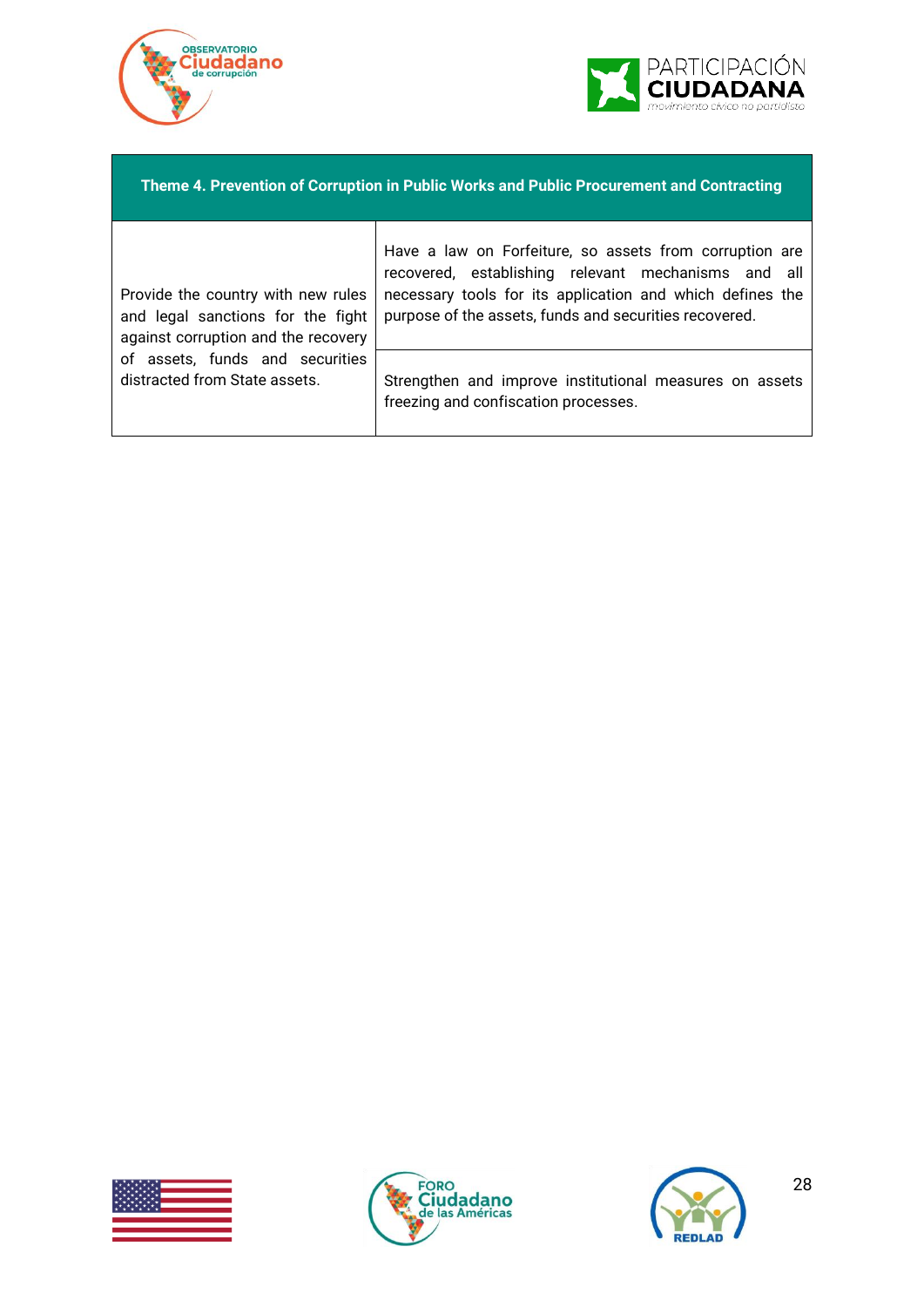



#### **Theme 4. Prevention of Corruption in Public Works and Public Procurement and Contracting**

Provide the country with new rules and legal sanctions for the fight against corruption and the recovery of assets, funds and securities distracted from State assets.

Have a law on Forfeiture, so assets from corruption are recovered, establishing relevant mechanisms and all necessary tools for its application and which defines the purpose of the assets, funds and securities recovered.

Strengthen and improve institutional measures on assets freezing and confiscation processes.





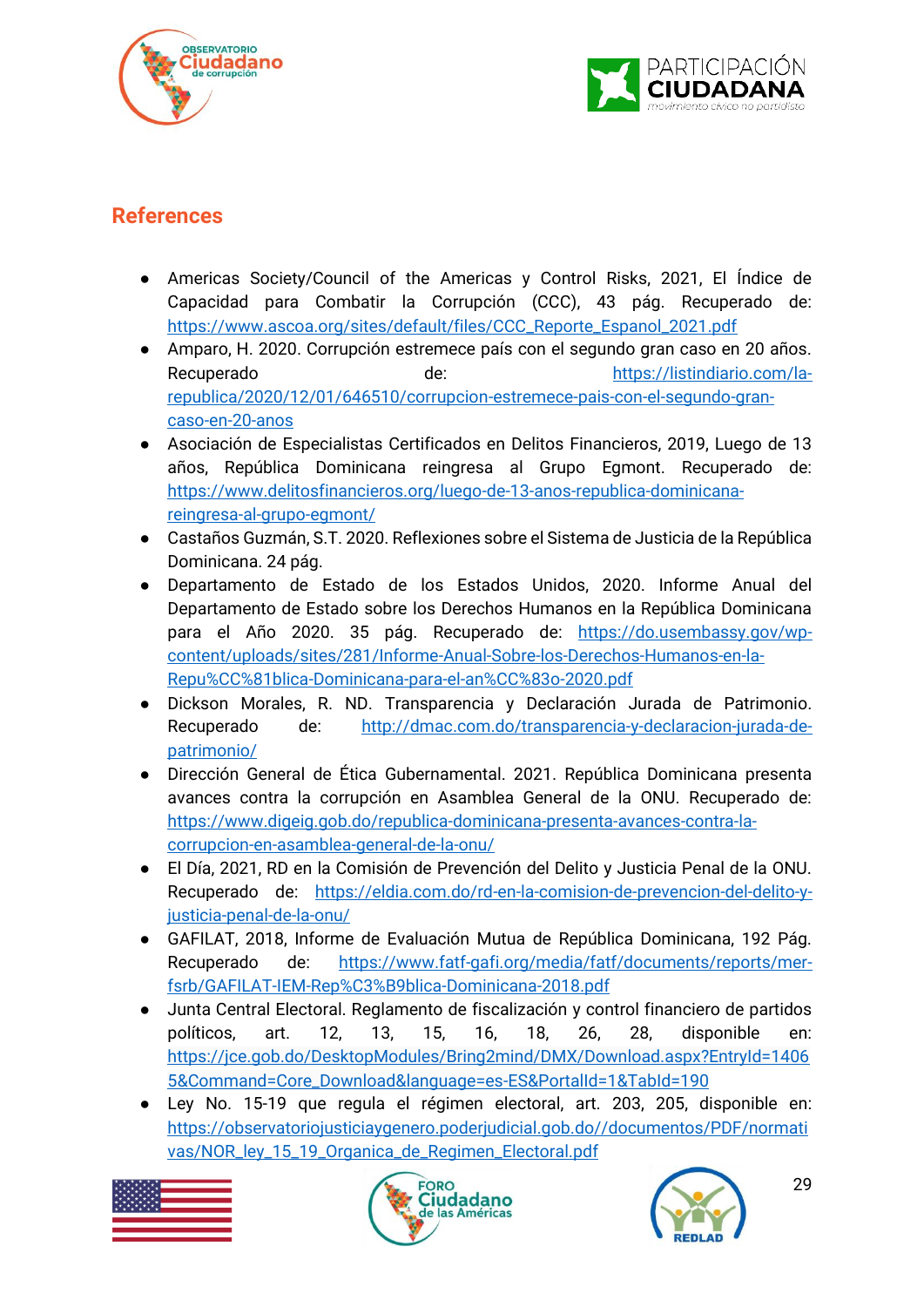



### <span id="page-28-0"></span>**References**

- Americas Society/Council of the Americas y Control Risks, 2021, El Índice de Capacidad para Combatir la Corrupción (CCC), 43 pág. Recuperado de: [https://www.ascoa.org/sites/default/files/CCC\\_Reporte\\_Espanol\\_2021.pdf](https://www.ascoa.org/sites/default/files/CCC_Reporte_Espanol_2021.pdf)
- Amparo, H. 2020. Corrupción estremece país con el segundo gran caso en 20 años. Recuperado de: [https://listindiario.com/la](https://listindiario.com/la-republica/2020/12/01/646510/corrupcion-estremece-pais-con-el-segundo-gran-caso-en-20-anos)[republica/2020/12/01/646510/corrupcion-estremece-pais-con-el-segundo-gran](https://listindiario.com/la-republica/2020/12/01/646510/corrupcion-estremece-pais-con-el-segundo-gran-caso-en-20-anos)[caso-en-20-anos](https://listindiario.com/la-republica/2020/12/01/646510/corrupcion-estremece-pais-con-el-segundo-gran-caso-en-20-anos)
- Asociación de Especialistas Certificados en Delitos Financieros, 2019, Luego de 13 años, República Dominicana reingresa al Grupo Egmont. Recuperado de: [https://www.delitosfinancieros.org/luego-de-13-anos-republica-dominicana](https://www.delitosfinancieros.org/luego-de-13-anos-republica-dominicana-reingresa-al-grupo-egmont/)[reingresa-al-grupo-egmont/](https://www.delitosfinancieros.org/luego-de-13-anos-republica-dominicana-reingresa-al-grupo-egmont/)
- Castaños Guzmán, S.T. 2020. Reflexiones sobre el Sistema de Justicia de la República Dominicana. 24 pág.
- Departamento de Estado de los Estados Unidos, 2020. Informe Anual del Departamento de Estado sobre los Derechos Humanos en la República Dominicana para el Año 2020. 35 pág. Recuperado de: [https://do.usembassy.gov/wp](https://do.usembassy.gov/wp-content/uploads/sites/281/Informe-Anual-Sobre-los-Derechos-Humanos-en-la-Repu%CC%81blica-Dominicana-para-el-an%CC%83o-2020.pdf)[content/uploads/sites/281/Informe-Anual-Sobre-los-Derechos-Humanos-en-la-](https://do.usembassy.gov/wp-content/uploads/sites/281/Informe-Anual-Sobre-los-Derechos-Humanos-en-la-Repu%CC%81blica-Dominicana-para-el-an%CC%83o-2020.pdf)[Repu%CC%81blica-Dominicana-para-el-an%CC%83o-2020.pdf](https://do.usembassy.gov/wp-content/uploads/sites/281/Informe-Anual-Sobre-los-Derechos-Humanos-en-la-Repu%CC%81blica-Dominicana-para-el-an%CC%83o-2020.pdf)
- Dickson Morales, R. ND. Transparencia y Declaración Jurada de Patrimonio. Recuperado de: [http://dmac.com.do/transparencia-y-declaracion-jurada-de](http://dmac.com.do/transparencia-y-declaracion-jurada-de-patrimonio/)[patrimonio/](http://dmac.com.do/transparencia-y-declaracion-jurada-de-patrimonio/)
- Dirección General de Ética Gubernamental. 2021. República Dominicana presenta avances contra la corrupción en Asamblea General de la ONU. Recuperado de: [https://www.digeig.gob.do/republica-dominicana-presenta-avances-contra-la](https://www.digeig.gob.do/republica-dominicana-presenta-avances-contra-la-corrupcion-en-asamblea-general-de-la-onu/)[corrupcion-en-asamblea-general-de-la-onu/](https://www.digeig.gob.do/republica-dominicana-presenta-avances-contra-la-corrupcion-en-asamblea-general-de-la-onu/)
- El Día, 2021, RD en la Comisión de Prevención del Delito y Justicia Penal de la ONU. Recuperado de: [https://eldia.com.do/rd-en-la-comision-de-prevencion-del-delito-y](https://eldia.com.do/rd-en-la-comision-de-prevencion-del-delito-y-justicia-penal-de-la-onu/)[justicia-penal-de-la-onu/](https://eldia.com.do/rd-en-la-comision-de-prevencion-del-delito-y-justicia-penal-de-la-onu/)
- GAFILAT, 2018, Informe de Evaluación Mutua de República Dominicana, 192 Pág. Recuperado de: [https://www.fatf-gafi.org/media/fatf/documents/reports/mer](https://www.fatf-gafi.org/media/fatf/documents/reports/mer-fsrb/GAFILAT-IEM-Rep%C3%B9blica-Dominicana-2018.pdf)[fsrb/GAFILAT-IEM-Rep%C3%B9blica-Dominicana-2018.pdf](https://www.fatf-gafi.org/media/fatf/documents/reports/mer-fsrb/GAFILAT-IEM-Rep%C3%B9blica-Dominicana-2018.pdf)
- Junta Central Electoral. Reglamento de fiscalización y control financiero de partidos políticos, art. 12, 13, 15, 16, 18, 26, 28, disponible en: [https://jce.gob.do/DesktopModules/Bring2mind/DMX/Download.aspx?EntryId=1406](https://jce.gob.do/DesktopModules/Bring2mind/DMX/Download.aspx?EntryId=14065&Command=Core_Download&language=es-ES&PortalId=1&TabId=190) [5&Command=Core\\_Download&language=es-ES&PortalId=1&TabId=190](https://jce.gob.do/DesktopModules/Bring2mind/DMX/Download.aspx?EntryId=14065&Command=Core_Download&language=es-ES&PortalId=1&TabId=190)
- Ley No. 15-19 que regula el régimen electoral, art. 203, 205, disponible en: [https://observatoriojusticiaygenero.poderjudicial.gob.do//documentos/PDF/normati](https://observatoriojusticiaygenero.poderjudicial.gob.do/documentos/PDF/normativas/NOR_ley_15_19_Organica_de_Regimen_Electoral.pdf) [vas/NOR\\_ley\\_15\\_19\\_Organica\\_de\\_Regimen\\_Electoral.pdf](https://observatoriojusticiaygenero.poderjudicial.gob.do/documentos/PDF/normativas/NOR_ley_15_19_Organica_de_Regimen_Electoral.pdf)





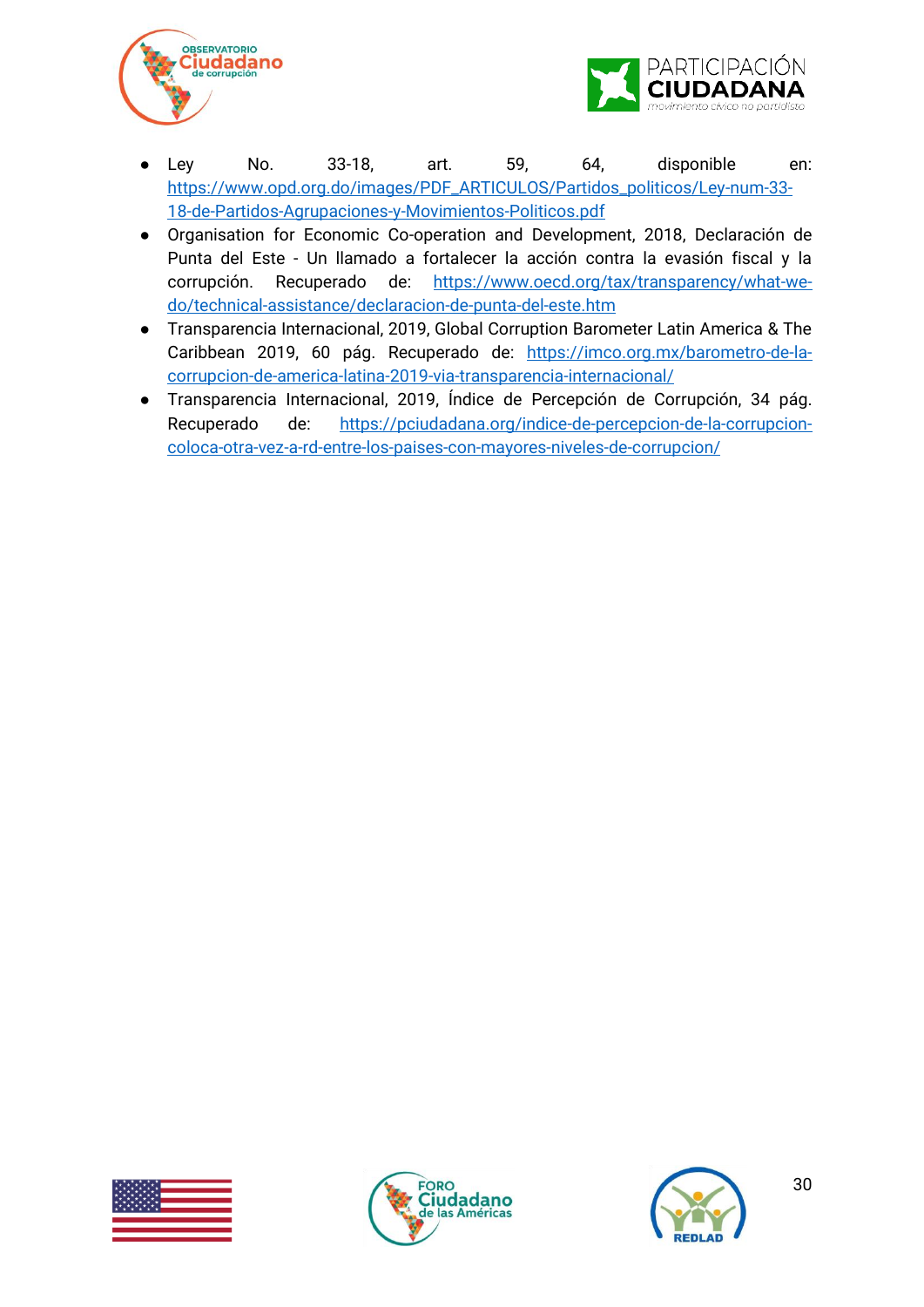



- Ley No. 33-18, art. 59, 64, disponible en: [https://www.opd.org.do/images/PDF\\_ARTICULOS/Partidos\\_politicos/Ley-num-33-](https://www.opd.org.do/images/PDF_ARTICULOS/Partidos_politicos/Ley-num-33-18-de-Partidos-Agrupaciones-y-Movimientos-Politicos.pdf) [18-de-Partidos-Agrupaciones-y-Movimientos-Politicos.pdf](https://www.opd.org.do/images/PDF_ARTICULOS/Partidos_politicos/Ley-num-33-18-de-Partidos-Agrupaciones-y-Movimientos-Politicos.pdf)
- Organisation for Economic Co-operation and Development, 2018, Declaración de Punta del Este - Un llamado a fortalecer la acción contra la evasión fiscal y la corrupción. Recuperado de: [https://www.oecd.org/tax/transparency/what-we](https://www.oecd.org/tax/transparency/what-we-do/technical-assistance/declaracion-de-punta-del-este.htm)[do/technical-assistance/declaracion-de-punta-del-este.htm](https://www.oecd.org/tax/transparency/what-we-do/technical-assistance/declaracion-de-punta-del-este.htm)
- Transparencia Internacional, 2019, Global Corruption Barometer Latin America & The Caribbean 2019, 60 pág. Recuperado de: [https://imco.org.mx/barometro-de-la](https://imco.org.mx/barometro-de-la-corrupcion-de-america-latina-2019-via-transparencia-internacional/)[corrupcion-de-america-latina-2019-via-transparencia-internacional/](https://imco.org.mx/barometro-de-la-corrupcion-de-america-latina-2019-via-transparencia-internacional/)
- Transparencia Internacional, 2019, Índice de Percepción de Corrupción, 34 pág. Recuperado de: [https://pciudadana.org/indice-de-percepcion-de-la-corrupcion](https://pciudadana.org/indice-de-percepcion-de-la-corrupcion-coloca-otra-vez-a-rd-entre-los-paises-con-mayores-niveles-de-corrupcion/)[coloca-otra-vez-a-rd-entre-los-paises-con-mayores-niveles-de-corrupcion/](https://pciudadana.org/indice-de-percepcion-de-la-corrupcion-coloca-otra-vez-a-rd-entre-los-paises-con-mayores-niveles-de-corrupcion/)





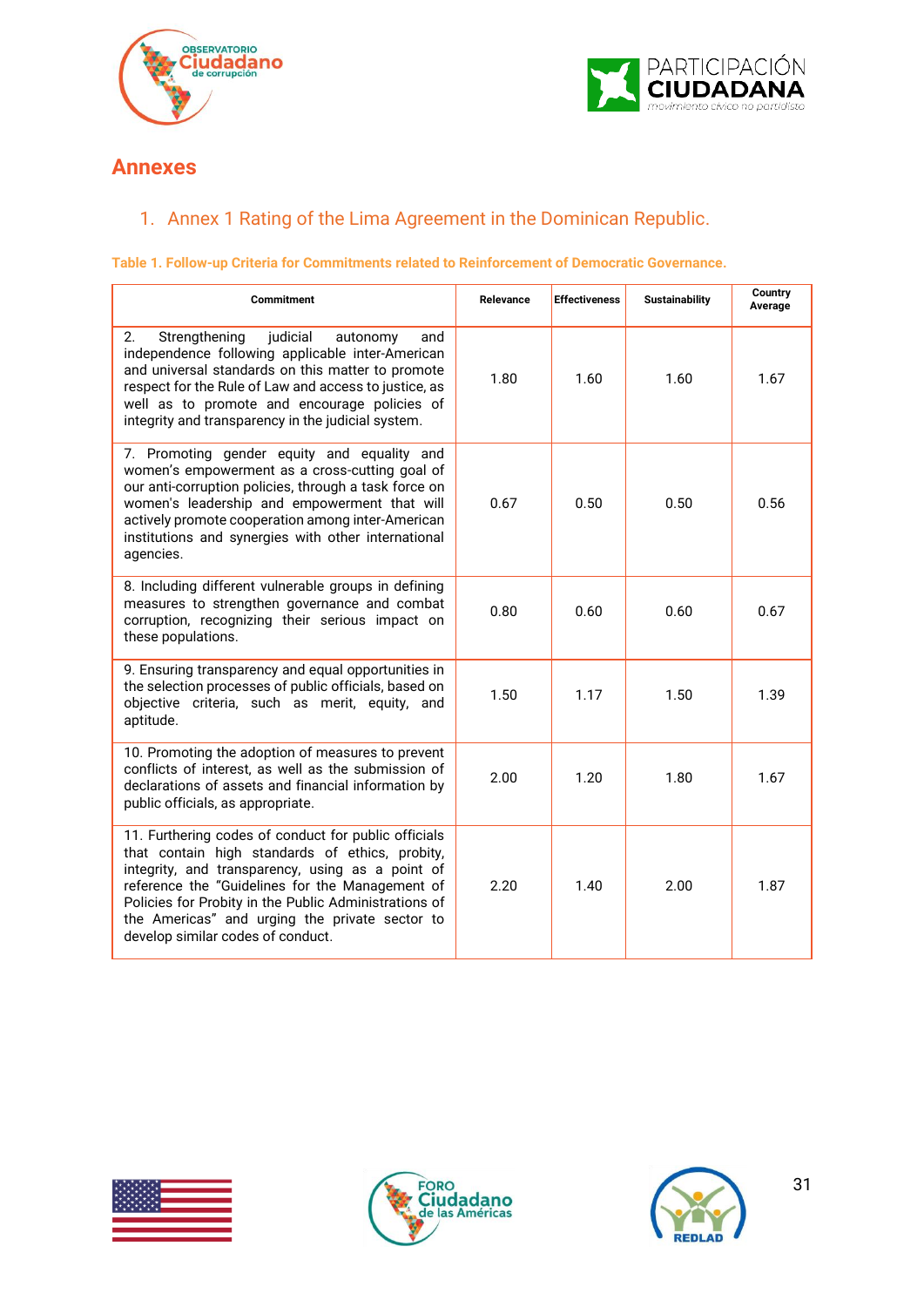



### <span id="page-30-0"></span>**Annexes**

### <span id="page-30-1"></span>1. Annex 1 Rating of the Lima Agreement in the Dominican Republic.

#### **Table 1. Follow-up Criteria for Commitments related to Reinforcement of Democratic Governance.**

| <b>Commitment</b>                                                                                                                                                                                                                                                                                                                                              | Relevance | <b>Effectiveness</b> | <b>Sustainability</b> | Country<br>Average |
|----------------------------------------------------------------------------------------------------------------------------------------------------------------------------------------------------------------------------------------------------------------------------------------------------------------------------------------------------------------|-----------|----------------------|-----------------------|--------------------|
| 2.<br>Strengthening<br>judicial<br>autonomy<br>and<br>independence following applicable inter-American<br>and universal standards on this matter to promote<br>respect for the Rule of Law and access to justice, as<br>well as to promote and encourage policies of<br>integrity and transparency in the judicial system.                                     | 1.80      | 1.60                 | 1.60                  | 1.67               |
| 7. Promoting gender equity and equality and<br>women's empowerment as a cross-cutting goal of<br>our anti-corruption policies, through a task force on<br>women's leadership and empowerment that will<br>actively promote cooperation among inter-American<br>institutions and synergies with other international<br>agencies.                                | 0.67      | 0.50                 | 0.50                  | 0.56               |
| 8. Including different vulnerable groups in defining<br>measures to strengthen governance and combat<br>corruption, recognizing their serious impact on<br>these populations.                                                                                                                                                                                  | 0.80      | 0.60                 | 0.60                  | 0.67               |
| 9. Ensuring transparency and equal opportunities in<br>the selection processes of public officials, based on<br>objective criteria, such as merit, equity, and<br>aptitude.                                                                                                                                                                                    | 1.50      | 1.17                 | 1.50                  | 1.39               |
| 10. Promoting the adoption of measures to prevent<br>conflicts of interest, as well as the submission of<br>declarations of assets and financial information by<br>public officials, as appropriate.                                                                                                                                                           | 2.00      | 1.20                 | 1.80                  | 1.67               |
| 11. Furthering codes of conduct for public officials<br>that contain high standards of ethics, probity,<br>integrity, and transparency, using as a point of<br>reference the "Guidelines for the Management of<br>Policies for Probity in the Public Administrations of<br>the Americas" and urging the private sector to<br>develop similar codes of conduct. | 2.20      | 1.40                 | 2.00                  | 1.87               |





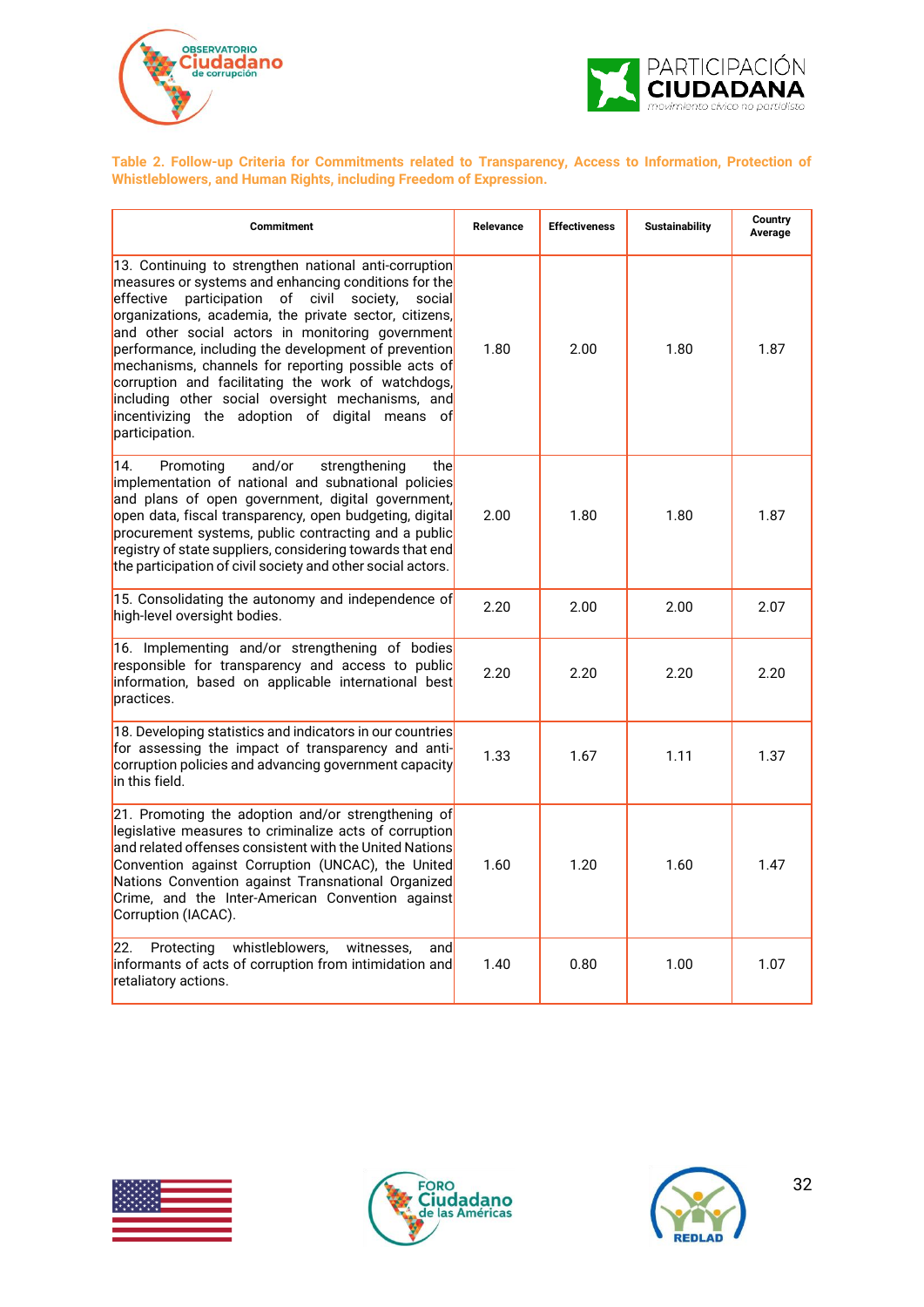



**Table 2. Follow-up Criteria for Commitments related to Transparency, Access to Information, Protection of Whistleblowers, and Human Rights, including Freedom of Expression.**

| Commitment                                                                                                                                                                                                                                                                                                                                                                                                                                                                                                                                                                               | Relevance | <b>Effectiveness</b> | <b>Sustainability</b> | Country<br>Average |
|------------------------------------------------------------------------------------------------------------------------------------------------------------------------------------------------------------------------------------------------------------------------------------------------------------------------------------------------------------------------------------------------------------------------------------------------------------------------------------------------------------------------------------------------------------------------------------------|-----------|----------------------|-----------------------|--------------------|
| 13. Continuing to strengthen national anti-corruption<br>measures or systems and enhancing conditions for the<br>participation<br>of civil<br>effective<br>society,<br>social<br>organizations, academia, the private sector, citizens,<br>and other social actors in monitoring government<br>performance, including the development of prevention<br>mechanisms, channels for reporting possible acts of<br>corruption and facilitating the work of watchdogs,<br>including other social oversight mechanisms, and<br>incentivizing the adoption of digital means of<br>participation. | 1.80      | 2.00                 | 1.80                  | 1.87               |
| 14.<br>and/or<br>Promoting<br>strengthening<br>thel<br>implementation of national and subnational policies<br>and plans of open government, digital government,<br>open data, fiscal transparency, open budgeting, digital<br>procurement systems, public contracting and a public<br>registry of state suppliers, considering towards that end<br>the participation of civil society and other social actors.                                                                                                                                                                           | 2.00      | 1.80                 | 1.80                  | 1.87               |
| 15. Consolidating the autonomy and independence of<br>high-level oversight bodies.                                                                                                                                                                                                                                                                                                                                                                                                                                                                                                       | 2.20      | 2.00                 | 2.00                  | 2.07               |
| 16. Implementing and/or strengthening of bodies<br>responsible for transparency and access to public<br>information, based on applicable international best<br>practices.                                                                                                                                                                                                                                                                                                                                                                                                                | 2.20      | 2.20                 | 2.20                  | 2.20               |
| 18. Developing statistics and indicators in our countries<br>for assessing the impact of transparency and anti-<br>corruption policies and advancing government capacity<br>in this field.                                                                                                                                                                                                                                                                                                                                                                                               | 1.33      | 1.67                 | 1.11                  | 1.37               |
| 21. Promoting the adoption and/or strengthening of<br>legislative measures to criminalize acts of corruption<br>and related offenses consistent with the United Nations<br>Convention against Corruption (UNCAC), the United<br>Nations Convention against Transnational Organized<br>Crime, and the Inter-American Convention against<br>Corruption (IACAC).                                                                                                                                                                                                                            | 1.60      | 1.20                 | 1.60                  | 1.47               |
| 22.<br>whistleblowers,<br>Protecting<br>witnesses,<br>and<br>informants of acts of corruption from intimidation and<br>retaliatory actions.                                                                                                                                                                                                                                                                                                                                                                                                                                              | 1.40      | 0.80                 | 1.00                  | 1.07               |